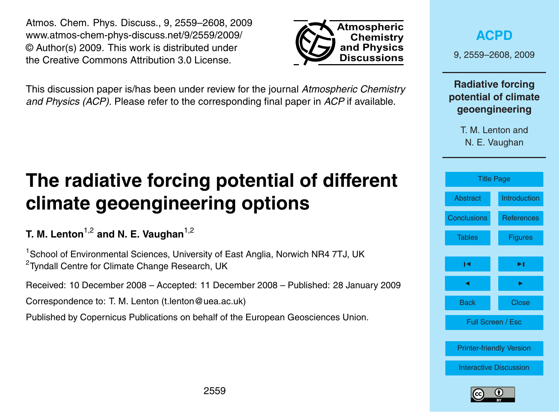2559

<span id="page-0-0"></span>Atmos. Chem. Phys. Discuss., 9, 2559–2608, 2009 www.atmos-chem-phys-discuss.net/9/2559/2009/ © Author(s) 2009. This work is distributed under the Creative Commons Attribution 3.0 License.

This discussion paper is/has been under review for the journal *Atmospheric Chemistry and Physics (ACP)*. Please refer to the corresponding final paper in *ACP* if available.

# **The radiative forcing potential of different climate geoengineering options**

**T. M. Lenton<sup>1,2</sup> and N. E. Vaughan<sup>1,2</sup>** 

<sup>1</sup> School of Environmental Sciences, University of East Anglia, Norwich NR4 7TJ, UK <sup>2</sup>Tyndall Centre for Climate Change Research, UK

Received: 10 December 2008 – Accepted: 11 December 2008 – Published: 28 January 2009

Correspondence to: T. M. Lenton (t.lenton@uea.ac.uk)

Published by Copernicus Publications on behalf of the European Geosciences Union.



**[ACPD](http://www.atmos-chem-phys-discuss.net)**

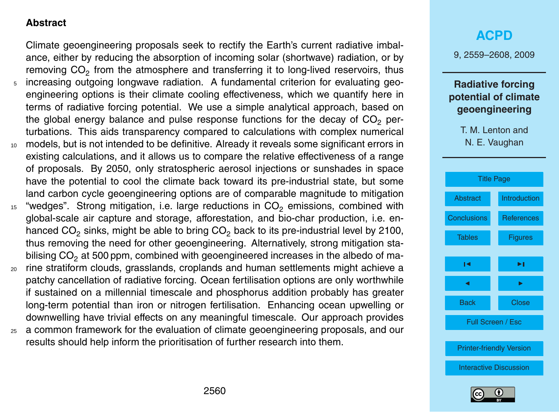## <span id="page-1-0"></span>**Abstract**

Climate geoengineering proposals seek to rectify the Earth's current radiative imbalance, either by reducing the absorption of incoming solar (shortwave) radiation, or by removing  $CO_2$  from the atmosphere and transferring it to long-lived reservoirs, thus <sup>5</sup> increasing outgoing longwave radiation. A fundamental criterion for evaluating geoengineering options is their climate cooling effectiveness, which we quantify here in terms of radiative forcing potential. We use a simple analytical approach, based on the global energy balance and pulse response functions for the decay of  $CO<sub>2</sub>$  perturbations. This aids transparency compared to calculations with complex numerical <sup>10</sup> models, but is not intended to be definitive. Already it reveals some significant errors in existing calculations, and it allows us to compare the relative effectiveness of a range of proposals. By 2050, only stratospheric aerosol injections or sunshades in space have the potential to cool the climate back toward its pre-industrial state, but some land carbon cycle geoengineering options are of comparable magnitude to mitigation

- $15$  "wedges". Strong mitigation, i.e. large reductions in CO<sub>2</sub> emissions, combined with global-scale air capture and storage, afforestation, and bio-char production, i.e. enhanced  $CO<sub>2</sub>$  sinks, might be able to bring  $CO<sub>2</sub>$  back to its pre-industrial level by 2100, thus removing the need for other geoengineering. Alternatively, strong mitigation stabilising  $CO<sub>2</sub>$  at 500 ppm, combined with geoengineered increases in the albedo of ma-
- <sup>20</sup> rine stratiform clouds, grasslands, croplands and human settlements might achieve a patchy cancellation of radiative forcing. Ocean fertilisation options are only worthwhile if sustained on a millennial timescale and phosphorus addition probably has greater long-term potential than iron or nitrogen fertilisation. Enhancing ocean upwelling or downwelling have trivial effects on any meaningful timescale. Our approach provides
- <sup>25</sup> a common framework for the evaluation of climate geoengineering proposals, and our results should help inform the prioritisation of further research into them.

## **[ACPD](http://www.atmos-chem-phys-discuss.net)**

9, 2559–2608, 2009

## **Radiative forcing potential of climate geoengineering**

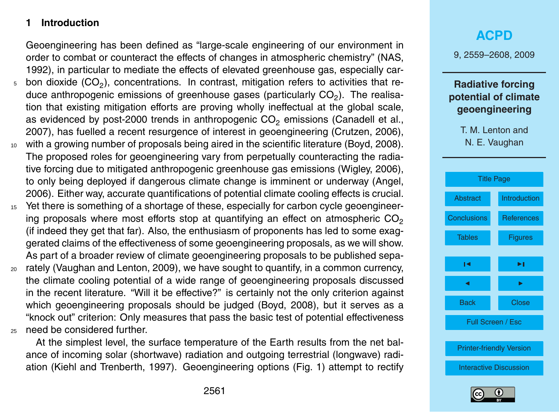## <span id="page-2-0"></span>**1 Introduction**

Geoengineering has been defined as "large-scale engineering of our environment in order to combat or counteract the effects of changes in atmospheric chemistry" (NAS, 1992), in particular to mediate the effects of elevated greenhouse gas, especially car-

- $_5$  bon dioxide (CO<sub>2</sub>), concentrations. In contrast, mitigation refers to activities that reduce anthropogenic emissions of greenhouse gases (particularly CO<sub>2</sub>). The realisation that existing mitigation efforts are proving wholly ineffectual at the global scale, as evidenced by post-2000 trends in anthropogenic  $CO<sub>2</sub>$  emissions (Canadell et al., 2007), has fuelled a recent resurgence of interest in geoengineering (Crutzen, 2006),
- <sup>10</sup> with a growing number of proposals being aired in the scientific literature (Boyd, 2008). The proposed roles for geoengineering vary from perpetually counteracting the radiative forcing due to mitigated anthropogenic greenhouse gas emissions (Wigley, 2006), to only being deployed if dangerous climate change is imminent or underway (Angel, 2006). Either way, accurate quantifications of potential climate cooling effects is crucial.
- <sup>15</sup> Yet there is something of a shortage of these, especially for carbon cycle geoengineering proposals where most efforts stop at quantifying an effect on atmospheric  $CO<sub>2</sub>$ (if indeed they get that far). Also, the enthusiasm of proponents has led to some exaggerated claims of the effectiveness of some geoengineering proposals, as we will show. As part of a broader review of climate geoengineering proposals to be published sepa-
- <sup>20</sup> rately (Vaughan and Lenton, 2009), we have sought to quantify, in a common currency, the climate cooling potential of a wide range of geoengineering proposals discussed in the recent literature. "Will it be effective?" is certainly not the only criterion against which geoengineering proposals should be judged (Boyd, 2008), but it serves as a "knock out" criterion: Only measures that pass the basic test of potential effectiveness <sup>25</sup> need be considered further.

At the simplest level, the surface temperature of the Earth results from the net balance of incoming solar (shortwave) radiation and outgoing terrestrial (longwave) radiation (Kiehl and Trenberth, 1997). Geoengineering options (Fig. 1) attempt to rectify

## **[ACPD](http://www.atmos-chem-phys-discuss.net)**

9, 2559–2608, 2009

## **Radiative forcing potential of climate geoengineering**



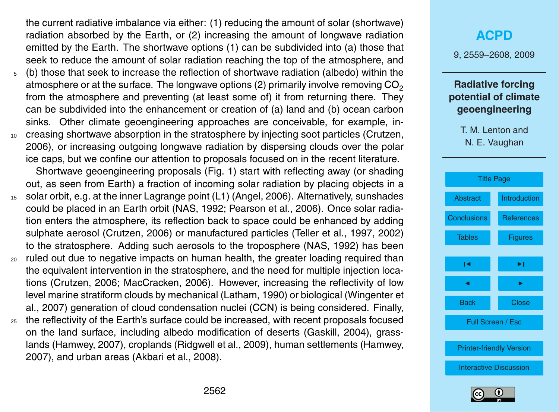the current radiative imbalance via either: (1) reducing the amount of solar (shortwave) radiation absorbed by the Earth, or (2) increasing the amount of longwave radiation emitted by the Earth. The shortwave options (1) can be subdivided into (a) those that seek to reduce the amount of solar radiation reaching the top of the atmosphere, and

- <sup>5</sup> (b) those that seek to increase the reflection of shortwave radiation (albedo) within the atmosphere or at the surface. The longwave options (2) primarily involve removing  $CO<sub>2</sub>$ from the atmosphere and preventing (at least some of) it from returning there. They can be subdivided into the enhancement or creation of (a) land and (b) ocean carbon sinks. Other climate geoengineering approaches are conceivable, for example, in-
- <sup>10</sup> creasing shortwave absorption in the stratosphere by injecting soot particles (Crutzen, 2006), or increasing outgoing longwave radiation by dispersing clouds over the polar ice caps, but we confine our attention to proposals focused on in the recent literature.

Shortwave geoengineering proposals (Fig. 1) start with reflecting away (or shading out, as seen from Earth) a fraction of incoming solar radiation by placing objects in a

- <sup>15</sup> solar orbit, e.g. at the inner Lagrange point (L1) (Angel, 2006). Alternatively, sunshades could be placed in an Earth orbit (NAS, 1992; Pearson et al., 2006). Once solar radiation enters the atmosphere, its reflection back to space could be enhanced by adding sulphate aerosol (Crutzen, 2006) or manufactured particles (Teller et al., 1997, 2002) to the stratosphere. Adding such aerosols to the troposphere (NAS, 1992) has been
- <sup>20</sup> ruled out due to negative impacts on human health, the greater loading required than the equivalent intervention in the stratosphere, and the need for multiple injection locations (Crutzen, 2006; MacCracken, 2006). However, increasing the reflectivity of low level marine stratiform clouds by mechanical (Latham, 1990) or biological (Wingenter et al., 2007) generation of cloud condensation nuclei (CCN) is being considered. Finally,
- $25$  the reflectivity of the Earth's surface could be increased, with recent proposals focused on the land surface, including albedo modification of deserts (Gaskill, 2004), grasslands (Hamwey, 2007), croplands (Ridgwell et al., 2009), human settlements (Hamwey, 2007), and urban areas (Akbari et al., 2008).

## **[ACPD](http://www.atmos-chem-phys-discuss.net)**

9, 2559–2608, 2009

#### **Radiative forcing potential of climate geoengineering**



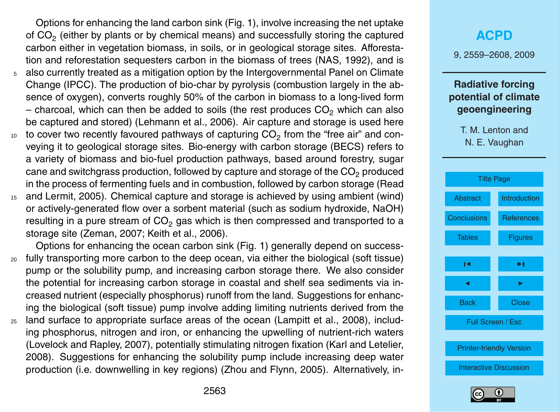Options for enhancing the land carbon sink (Fig. 1), involve increasing the net uptake of CO<sub>2</sub> (either by plants or by chemical means) and successfully storing the captured carbon either in vegetation biomass, in soils, or in geological storage sites. Afforestation and reforestation sequesters carbon in the biomass of trees (NAS, 1992), and is <sup>5</sup> also currently treated as a mitigation option by the Intergovernmental Panel on Climate Change (IPCC). The production of bio-char by pyrolysis (combustion largely in the absence of oxygen), converts roughly 50% of the carbon in biomass to a long-lived form – charcoal, which can then be added to soils (the rest produces  $CO<sub>2</sub>$  which can also be captured and stored) (Lehmann et al., 2006). Air capture and storage is used here  $_{\rm 10}$   $\,$  to cover two recently favoured pathways of capturing CO $_{2}$  from the "free air" and con-

- veying it to geological storage sites. Bio-energy with carbon storage (BECS) refers to a variety of biomass and bio-fuel production pathways, based around forestry, sugar cane and switchgrass production, followed by capture and storage of the  $CO<sub>2</sub>$  produced in the process of fermenting fuels and in combustion, followed by carbon storage (Read
- <sup>15</sup> and Lermit, 2005). Chemical capture and storage is achieved by using ambient (wind) or actively-generated flow over a sorbent material (such as sodium hydroxide, NaOH) resulting in a pure stream of  $CO<sub>2</sub>$  gas which is then compressed and transported to a storage site (Zeman, 2007; Keith et al., 2006).

Options for enhancing the ocean carbon sink (Fig. 1) generally depend on success-<sup>20</sup> fully transporting more carbon to the deep ocean, via either the biological (soft tissue) pump or the solubility pump, and increasing carbon storage there. We also consider the potential for increasing carbon storage in coastal and shelf sea sediments via increased nutrient (especially phosphorus) runoff from the land. Suggestions for enhancing the biological (soft tissue) pump involve adding limiting nutrients derived from the <sup>25</sup> land surface to appropriate surface areas of the ocean (Lampitt et al., 2008), including phosphorus, nitrogen and iron, or enhancing the upwelling of nutrient-rich waters (Lovelock and Rapley, 2007), potentially stimulating nitrogen fixation (Karl and Letelier, 2008). Suggestions for enhancing the solubility pump include increasing deep water production (i.e. downwelling in key regions) (Zhou and Flynn, 2005). Alternatively, in-

## **[ACPD](http://www.atmos-chem-phys-discuss.net)**

9, 2559–2608, 2009

## **Radiative forcing potential of climate geoengineering**



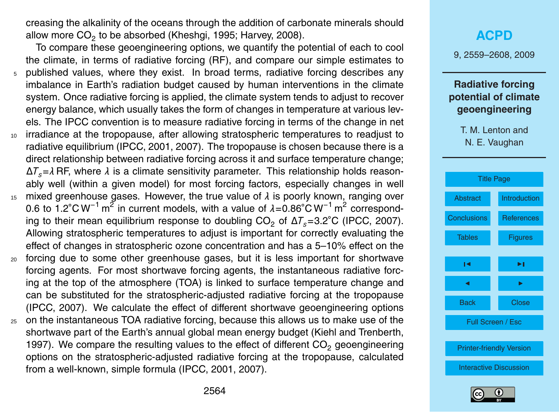creasing the alkalinity of the oceans through the addition of carbonate minerals should allow more  $\mathsf{CO}_2$  to be absorbed (Kheshgi, 1995; Harvey, 2008).

To compare these geoengineering options, we quantify the potential of each to cool the climate, in terms of radiative forcing (RF), and compare our simple estimates to <sup>5</sup> published values, where they exist. In broad terms, radiative forcing describes any imbalance in Earth's radiation budget caused by human interventions in the climate system. Once radiative forcing is applied, the climate system tends to adjust to recover energy balance, which usually takes the form of changes in temperature at various levels. The IPCC convention is to measure radiative forcing in terms of the change in net <sup>10</sup> irradiance at the tropopause, after allowing stratospheric temperatures to readjust to radiative equilibrium (IPCC, 2001, 2007). The tropopause is chosen because there is a direct relationship between radiative forcing across it and surface temperature change;

∆*Ts*=*λ* RF, where *λ* is a climate sensitivity parameter. This relationship holds reasonably well (within a given model) for most forcing factors, especially changes in well <sup>15</sup> mixed greenhouse gases. However, the true value of *λ* is poorly known, ranging over 0.6 to 1.2°C W<sup>-1</sup> m<sup>2</sup> in current models, with a value of  $\lambda$ =0.86°C W<sup>-1</sup> m<sup>2</sup> corresponding to their mean equilibrium response to doubling  $CO<sub>2</sub>$  of  $\Delta T<sub>s</sub>=3.2°C$  (IPCC, 2007). Allowing stratospheric temperatures to adjust is important for correctly evaluating the effect of changes in stratospheric ozone concentration and has a 5–10% effect on the

- <sup>20</sup> forcing due to some other greenhouse gases, but it is less important for shortwave forcing agents. For most shortwave forcing agents, the instantaneous radiative forcing at the top of the atmosphere (TOA) is linked to surface temperature change and can be substituted for the stratospheric-adjusted radiative forcing at the tropopause (IPCC, 2007). We calculate the effect of different shortwave geoengineering options
- <sup>25</sup> on the instantaneous TOA radiative forcing, because this allows us to make use of the shortwave part of the Earth's annual global mean energy budget (Kiehl and Trenberth, 1997). We compare the resulting values to the effect of different  $CO<sub>2</sub>$  geoengineering options on the stratospheric-adjusted radiative forcing at the tropopause, calculated from a well-known, simple formula (IPCC, 2001, 2007).

## **[ACPD](http://www.atmos-chem-phys-discuss.net)**

9, 2559–2608, 2009

## **Radiative forcing potential of climate geoengineering**

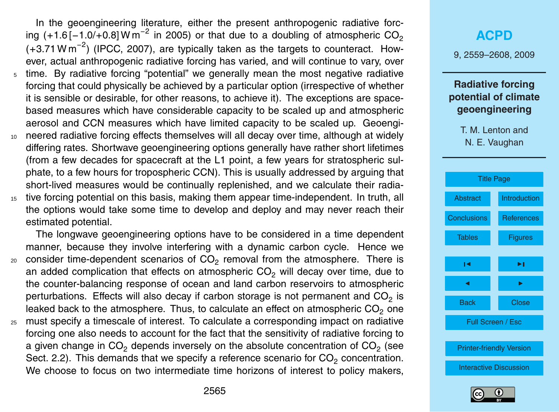In the geoengineering literature, either the present anthropogenic radiative forcing (+1.6[-1.0/+0.8] W m<sup>-2</sup> in 2005) or that due to a doubling of atmospheric  $CO_2$  $(+3.71 \text{ W m}^{-2})$  (IPCC, 2007), are typically taken as the targets to counteract. However, actual anthropogenic radiative forcing has varied, and will continue to vary, over time. By radiative forcing "potential" we generally mean the most negative radiative forcing that could physically be achieved by a particular option (irrespective of whether it is sensible or desirable, for other reasons, to achieve it). The exceptions are spacebased measures which have considerable capacity to be scaled up and atmospheric aerosol and CCN measures which have limited capacity to be scaled up. Geoengi-<sup>10</sup> neered radiative forcing effects themselves will all decay over time, although at widely

- differing rates. Shortwave geoengineering options generally have rather short lifetimes (from a few decades for spacecraft at the L1 point, a few years for stratospheric sulphate, to a few hours for tropospheric CCN). This is usually addressed by arguing that short-lived measures would be continually replenished, and we calculate their radia-<sup>15</sup> tive forcing potential on this basis, making them appear time-independent. In truth, all
- the options would take some time to develop and deploy and may never reach their estimated potential.

The longwave geoengineering options have to be considered in a time dependent manner, because they involve interfering with a dynamic carbon cycle. Hence we  $_{\rm 20}$  consider time-dependent scenarios of CO<sub>2</sub> removal from the atmosphere. There is an added complication that effects on atmospheric  $CO<sub>2</sub>$  will decay over time, due to the counter-balancing response of ocean and land carbon reservoirs to atmospheric perturbations. Effects will also decay if carbon storage is not permanent and CO<sub>2</sub> is leaked back to the atmosphere. Thus, to calculate an effect on atmospheric  $CO<sub>2</sub>$  one <sup>25</sup> must specify a timescale of interest. To calculate a corresponding impact on radiative forcing one also needs to account for the fact that the sensitivity of radiative forcing to a given change in CO<sub>2</sub> depends inversely on the absolute concentration of CO<sub>2</sub> (see Sect. 2.2). This demands that we specify a reference scenario for  $CO_2$  concentration.

## **[ACPD](http://www.atmos-chem-phys-discuss.net)** 9, 2559–2608, 2009 **Radiative forcing potential of climate geoengineering**

T. M. Lenton and N. E. Vaughan





We choose to focus on two intermediate time horizons of interest to policy makers,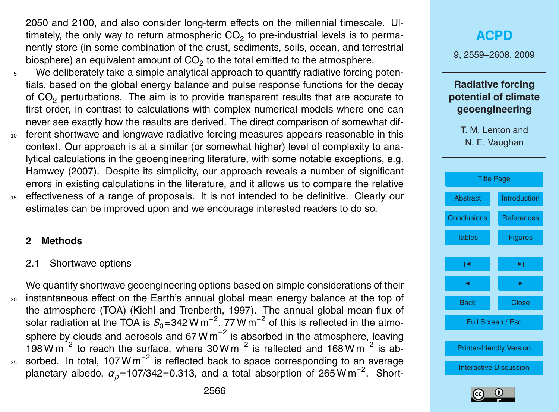2050 and 2100, and also consider long-term effects on the millennial timescale. Ultimately, the only way to return atmospheric CO<sub>2</sub> to pre-industrial levels is to permanently store (in some combination of the crust, sediments, soils, ocean, and terrestrial biosphere) an equivalent amount of CO<sub>2</sub> to the total emitted to the atmosphere.

- <sup>5</sup> We deliberately take a simple analytical approach to quantify radiative forcing potentials, based on the global energy balance and pulse response functions for the decay of CO<sub>2</sub> perturbations. The aim is to provide transparent results that are accurate to first order, in contrast to calculations with complex numerical models where one can never see exactly how the results are derived. The direct comparison of somewhat dif-
- <sup>10</sup> ferent shortwave and longwave radiative forcing measures appears reasonable in this context. Our approach is at a similar (or somewhat higher) level of complexity to analytical calculations in the geoengineering literature, with some notable exceptions, e.g. Hamwey (2007). Despite its simplicity, our approach reveals a number of significant errors in existing calculations in the literature, and it allows us to compare the relative
- <sup>15</sup> effectiveness of a range of proposals. It is not intended to be definitive. Clearly our estimates can be improved upon and we encourage interested readers to do so.

#### **2 Methods**

#### 2.1 Shortwave options

We quantify shortwave geoengineering options based on simple considerations of their <sup>20</sup> instantaneous effect on the Earth's annual global mean energy balance at the top of the atmosphere (TOA) (Kiehl and Trenberth, 1997). The annual global mean flux of solar radiation at the TOA is  $S_0$ =342 W m<sup>−2</sup>, 77 W m<sup>−2</sup> of this is reflected in the atmosphere by clouds and aerosols and 67 W m<sup>−2</sup> is absorbed in the atmosphere, leaving 198 W m<sup>-2</sup> to reach the surface, where 30 W m<sup>-2</sup> is reflected and 168 W m<sup>-2</sup> is ab- $_{25}$  sorbed. In total, 107 W m<sup>-2</sup> is reflected back to space corresponding to an average planetary albedo,  $\alpha_p$ =107/342=0.313, and a total absorption of 265 W m<sup>-2</sup>. Short-

## **[ACPD](http://www.atmos-chem-phys-discuss.net)** 9, 2559–2608, 2009 **Radiative forcing potential of climate geoengineering** T. M. Lenton and N. E. Vaughan [Title Page](#page-0-0) [Abstract](#page-1-0) [Introduction](#page-2-0) [Conclusions](#page-35-0) [References](#page-40-0) [Tables](#page-47-0) **[Figures](#page-49-0)**  $\sim$  J  $\sim$ J I Back Close Full Screen / Esc [Printer-friendly Version](http://www.atmos-chem-phys-discuss.net/9/2559/2009/acpd-9-2559-2009-print.pdf) [Interactive Discussion](http://www.atmos-chem-phys-discuss.net/9/2559/2009/acpd-9-2559-2009-discussion.html)

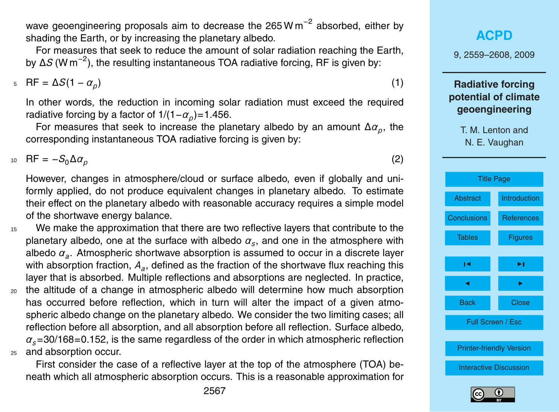wave geoengineering proposals aim to decrease the 265 W m<sup>-2</sup> absorbed, either by shading the Earth, or by increasing the planetary albedo.

For measures that seek to reduce the amount of solar radiation reaching the Earth, by ∆*S* (W m−<sup>2</sup> ), the resulting instantaneous TOA radiative forcing, RF is given by:

 $R = ΔS(1 - α<sub>p</sub>)$  (1)

In other words, the reduction in incoming solar radiation must exceed the required radiative forcing by a factor of 1/(1*−* $\alpha_p$ )=1.456.

For measures that seek to increase the planetary albedo by an amount ∆*α<sup>p</sup>* , the corresponding instantaneous TOA radiative forcing is given by:

 $R = -S_0 \Delta a_p$  (2)

However, changes in atmosphere/cloud or surface albedo, even if globally and uniformly applied, do not produce equivalent changes in planetary albedo. To estimate their effect on the planetary albedo with reasonable accuracy requires a simple model of the shortwave energy balance.

<sup>15</sup> We make the approximation that there are two reflective layers that contribute to the planetary albedo, one at the surface with albedo  $\alpha_{_S}$ , and one in the atmosphere with albedo *α<sup>a</sup>* . Atmospheric shortwave absorption is assumed to occur in a discrete layer with absorption fraction, *A<sup>a</sup>* , defined as the fraction of the shortwave flux reaching this layer that is absorbed. Multiple reflections and absorptions are neglected. In practice,

<sup>20</sup> the altitude of a change in atmospheric albedo will determine how much absorption has occurred before reflection, which in turn will alter the impact of a given atmospheric albedo change on the planetary albedo. We consider the two limiting cases; all reflection before all absorption, and all absorption before all reflection. Surface albedo, *αs*=30/168=0.152, is the same regardless of the order in which atmospheric reflection <sup>25</sup> and absorption occur.

First consider the case of a reflective layer at the top of the atmosphere (TOA) beneath which all atmospheric absorption occurs. This is a reasonable approximation for

**[ACPD](http://www.atmos-chem-phys-discuss.net)** 9, 2559–2608, 2009 **Radiative forcing potential of climate geoengineering** T. M. Lenton and N. E. Vaughan [Title Page](#page-0-0) [Abstract](#page-1-0) [Introduction](#page-2-0) [Conclusions](#page-35-0) [References](#page-40-0) [Tables](#page-47-0) [Figures](#page-49-0)  $\sim$  J  $\sim$ J I Back Close Full Screen / Esc [Printer-friendly Version](http://www.atmos-chem-phys-discuss.net/9/2559/2009/acpd-9-2559-2009-print.pdf) [Interactive Discussion](http://www.atmos-chem-phys-discuss.net/9/2559/2009/acpd-9-2559-2009-discussion.html)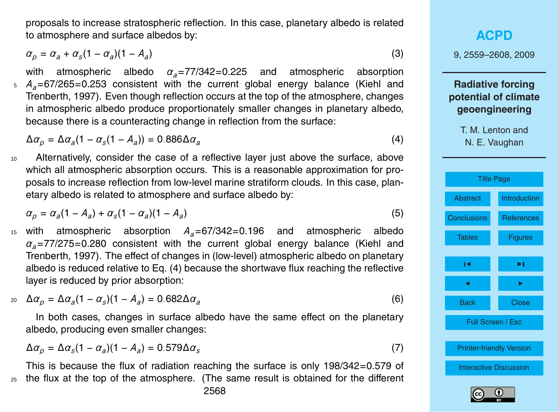proposals to increase stratospheric reflection. In this case, planetary albedo is related to atmosphere and surface albedos by:

$$
\alpha_p = \alpha_a + \alpha_s (1 - \alpha_a)(1 - A_a) \tag{3}
$$

with atmospheric albedo *αa*=77/342=0.225 and atmospheric absorption <sup>5</sup> *Aa*=67/265=0.253 consistent with the current global energy balance (Kiehl and Trenberth, 1997). Even though reflection occurs at the top of the atmosphere, changes in atmospheric albedo produce proportionately smaller changes in planetary albedo, because there is a counteracting change in reflection from the surface:

 $Δα<sub>p</sub> = Δα<sub>a</sub>(1 − α<sub>s</sub>(1 − A<sub>a</sub>)) = 0.886Δα<sub>a</sub>$ 

10 Alternatively, consider the case of a reflective layer just above the surface, above which all atmospheric absorption occurs. This is a reasonable approximation for proposals to increase reflection from low-level marine stratiform clouds. In this case, planetary albedo is related to atmosphere and surface albedo by:

$$
\alpha_p = \alpha_a (1 - A_a) + \alpha_s (1 - \alpha_a)(1 - A_a) \tag{5}
$$

<sup>15</sup> with atmospheric absorption *Aa*=67/342=0.196 and atmospheric albedo *αa*=77/275=0.280 consistent with the current global energy balance (Kiehl and Trenberth, 1997). The effect of changes in (low-level) atmospheric albedo on planetary albedo is reduced relative to Eq. (4) because the shortwave flux reaching the reflective layer is reduced by prior absorption:

$$
\Delta \alpha_{p} = \Delta \alpha_{a} (1 - \alpha_{s}) (1 - A_{a}) = 0.682 \Delta \alpha_{a}
$$
\n(6)

In both cases, changes in surface albedo have the same effect on the planetary albedo, producing even smaller changes:

$$
\Delta \alpha_p = \Delta \alpha_s (1 - \alpha_a)(1 - A_a) = 0.579 \Delta \alpha_s \tag{7}
$$

This is because the flux of radiation reaching the surface is only 198/342=0.579 of <sup>25</sup> the flux at the top of the atmosphere. (The same result is obtained for the different

## **[ACPD](http://www.atmos-chem-phys-discuss.net)**

9, 2559–2608, 2009

## **Radiative forcing potential of climate geoengineering**

T. M. Lenton and N. E. Vaughan

(4)



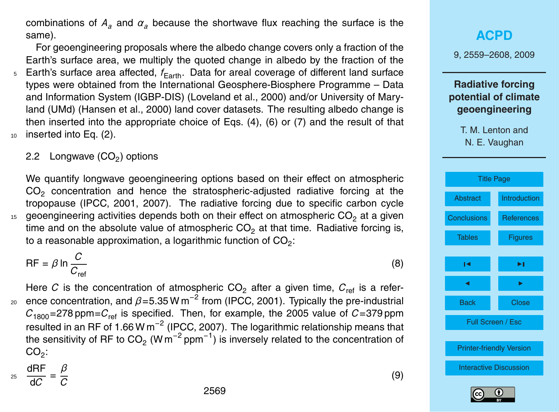combinations of  $A_a$  and  $\alpha_a$  because the shortwave flux reaching the surface is the same).

For geoengineering proposals where the albedo change covers only a fraction of the Earth's surface area, we multiply the quoted change in albedo by the fraction of the  $5$  Earth's surface area affected,  $f_{Earth}$ . Data for areal coverage of different land surface types were obtained from the International Geosphere-Biosphere Programme – Data and Information System (IGBP-DIS) (Loveland et al., 2000) and/or University of Maryland (UMd) (Hansen et al., 2000) land cover datasets. The resulting albedo change is then inserted into the appropriate choice of Eqs. (4), (6) or (7) and the result of that <sup>10</sup> inserted into Eq. (2).

## 2.2 Longwave (CO $_2$ ) options

We quantify longwave geoengineering options based on their effect on atmospheric  $CO<sub>2</sub>$  concentration and hence the stratospheric-adjusted radiative forcing at the tropopause (IPCC, 2001, 2007). The radiative forcing due to specific carbon cycle  $15$  geoengineering activities depends both on their effect on atmospheric CO<sub>2</sub> at a given time and on the absolute value of atmospheric  $CO<sub>2</sub>$  at that time. Radiative forcing is, to a reasonable approximation, a logarithmic function of CO<sub>2</sub>:

$$
RF = \beta \ln \frac{C}{C_{\text{ref}}}
$$
 (8)

Here *C* is the concentration of atmospheric  $CO<sub>2</sub>$  after a given time,  $C<sub>ref</sub>$  is a refer- $20$  ence concentration, and β=5.35 W m<sup>-2</sup> from (IPCC, 2001). Typically the pre-industrial  $C_{1800}$ =278 ppm= $C_{ref}$  is specified. Then, for example, the 2005 value of  $C=379$  ppm resulted in an RF of 1.66 W m<sup>-2</sup> (IPCC, 2007). The logarithmic relationship means that the sensitivity of RF to CO<sub>2</sub> (W m<sup>−2</sup> ppm<sup>−1</sup>) is inversely related to the concentration of  $\mathsf{CO}_{2}$ :

dRF d*C* =  $\frac{25}{10} = \frac{1}{2}$  (9)

*β C*





Full Screen / Esc

[Printer-friendly Version](http://www.atmos-chem-phys-discuss.net/9/2559/2009/acpd-9-2559-2009-print.pdf)

[Interactive Discussion](http://www.atmos-chem-phys-discuss.net/9/2559/2009/acpd-9-2559-2009-discussion.html)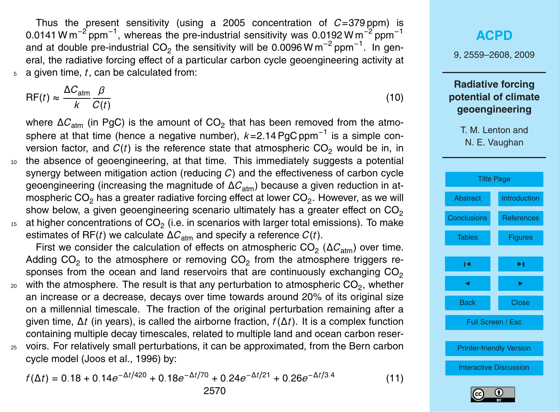Thus the present sensitivity (using a 2005 concentration of *C*=379 ppm) is 0.0141 W m<sup>-2</sup> ppm<sup>-1</sup>, whereas the pre-industrial sensitivity was 0.0192 W m<sup>-2</sup> ppm<sup>-1</sup> and at double pre-industrial CO<sub>2</sub> the sensitivity will be 0.0096 W m<sup>−2</sup> ppm<sup>−1</sup>. In general, the radiative forcing effect of a particular carbon cycle geoengineering activity at <sup>5</sup> a given time, *t*, can be calculated from:

$$
RF(t) \approx \frac{\Delta C_{\text{atm}}}{k} \frac{\beta}{C(t)}
$$
 (10)

where ∆C<sub>atm</sub> (in PgC) is the amount of CO<sub>2</sub> that has been removed from the atmosphere at that time (hence a negative number), *k*=2.14 PgC ppm−<sup>1</sup> is a simple conversion factor, and  $C(t)$  is the reference state that atmospheric  $CO<sub>2</sub>$  would be in, in <sup>10</sup> the absence of geoengineering, at that time. This immediately suggests a potential synergy between mitigation action (reducing *C*) and the effectiveness of carbon cycle geoengineering (increasing the magnitude of ΔC<sub>atm</sub>) because a given reduction in atmospheric CO<sub>2</sub> has a greater radiative forcing effect at lower CO<sub>2</sub>. However, as we will show below, a given geoengineering scenario ultimately has a greater effect on  $CO<sub>2</sub>$ 

 $_{^{15}}$   $\,$  at higher concentrations of CO $_{2}$  (i.e. in scenarios with larger total emissions). To make estimates of RF(*t*) we calculate  $\Delta C_{\text{atm}}$  and specify a reference  $C(t)$ .

First we consider the calculation of effects on atmospheric CO<sub>2</sub> (ΔC<sub>atm</sub>) over time. Adding CO<sub>2</sub> to the atmosphere or removing CO<sub>2</sub> from the atmosphere triggers responses from the ocean and land reservoirs that are continuously exchanging  $CO<sub>2</sub>$ 

 $_{\rm 20}$   $\,$  with the atmosphere. The result is that any perturbation to atmospheric CO $_{2}$ , whether an increase or a decrease, decays over time towards around 20% of its original size on a millennial timescale. The fraction of the original perturbation remaining after a given time, ∆*t* (in years), is called the airborne fraction, *f*(∆*t*). It is a complex function containing multiple decay timescales, related to multiple land and ocean carbon reser-<sup>25</sup> voirs. For relatively small perturbations, it can be approximated, from the Bern carbon cycle model (Joos et al., 1996) by:

$$
f(\Delta t) = 0.18 + 0.14e^{-\Delta t/420} + 0.18e^{-\Delta t/70} + 0.24e^{-\Delta t/21} + 0.26e^{-\Delta t/3.4}
$$
 (11)

## **[ACPD](http://www.atmos-chem-phys-discuss.net)** 9, 2559–2608, 2009 **Radiative forcing potential of climate geoengineering** T. M. Lenton and N. E. Vaughan [Title Page](#page-0-0) [Abstract](#page-1-0) [Introduction](#page-2-0) [Conclusions](#page-35-0) [References](#page-40-0) [Tables](#page-47-0) **[Figures](#page-49-0)**  $\sim$  J  $\sim$ J I Back Close Full Screen / Esc [Printer-friendly Version](http://www.atmos-chem-phys-discuss.net/9/2559/2009/acpd-9-2559-2009-print.pdf) [Interactive Discussion](http://www.atmos-chem-phys-discuss.net/9/2559/2009/acpd-9-2559-2009-discussion.html)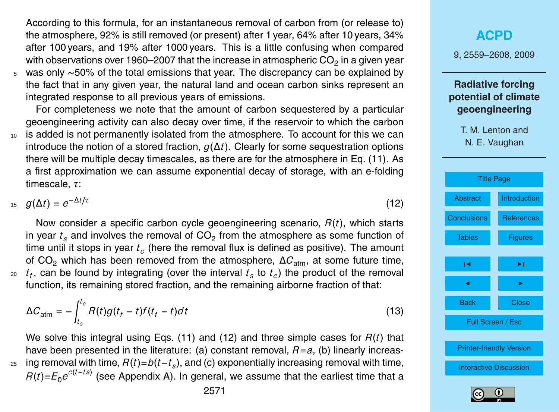According to this formula, for an instantaneous removal of carbon from (or release to) the atmosphere, 92% is still removed (or present) after 1 year, 64% after 10 years, 34% after 100 years, and 19% after 1000 years. This is a little confusing when compared with observations over 1960–2007 that the increase in atmospheric CO<sub>2</sub> in a given year <sup>5</sup> was only ∼50% of the total emissions that year. The discrepancy can be explained by

the fact that in any given year, the natural land and ocean carbon sinks represent an integrated response to all previous years of emissions.

For completeness we note that the amount of carbon sequestered by a particular geoengineering activity can also decay over time, if the reservoir to which the carbon

<sup>10</sup> is added is not permanently isolated from the atmosphere. To account for this we can introduce the notion of a stored fraction, *g*(∆*t*). Clearly for some sequestration options there will be multiple decay timescales, as there are for the atmosphere in Eq. (11). As a first approximation we can assume exponential decay of storage, with an e-folding timescale, *τ*:

 $g(\Delta t) = e^{-\Delta t/\tau}$  (12)

Now consider a specific carbon cycle geoengineering scenario, *R*(*t*), which starts in year  $t_s$  and involves the removal of CO<sub>2</sub> from the atmosphere as some function of time until it stops in year *t<sup>c</sup>* (here the removal flux is defined as positive). The amount of CO<sub>2</sub> which has been removed from the atmosphere,  $\Delta C_{\text{atm}}$ , at some future time,  $t_f$ , can be found by integrating (over the interval  $t_s$  to  $t_c$ ) the product of the removal function, its remaining stored fraction, and the remaining airborne fraction of that:

$$
\Delta C_{\text{atm}} = -\int_{t_s}^{t_c} R(t)g(t_f - t)f(t_f - t)dt
$$
\n(13)

We solve this integral using Eqs. (11) and (12) and three simple cases for *R*(*t*) that have been presented in the literature: (a) constant removal, *R*=*a*, (b) linearly increasing removal with time, *R*(*t*)=*b*(*t*−*t<sup>s</sup>* <sup>25</sup> ), and (c) exponentially increasing removal with time, *R(t)=E<sub>0</sub>e<sup>c(t-ts)</sup> (see Appendix A).* In general, we assume that the earliest time that a

## 9, 2559–2608, 2009 **Radiative forcing potential of climate geoengineering** T. M. Lenton and N. E. Vaughan [Title Page](#page-0-0) [Abstract](#page-1-0) [Introduction](#page-2-0) [Conclusions](#page-35-0) [References](#page-40-0) [Tables](#page-47-0) [Figures](#page-49-0)  $\sim$  J  $\sim$ J I Back Close Full Screen / Esc [Printer-friendly Version](http://www.atmos-chem-phys-discuss.net/9/2559/2009/acpd-9-2559-2009-print.pdf) [Interactive Discussion](http://www.atmos-chem-phys-discuss.net/9/2559/2009/acpd-9-2559-2009-discussion.html)

**[ACPD](http://www.atmos-chem-phys-discuss.net)**

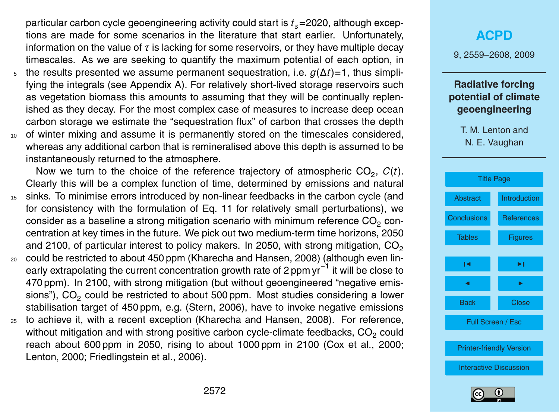particular carbon cycle geoengineering activity could start is *ts*=2020, although exceptions are made for some scenarios in the literature that start earlier. Unfortunately, information on the value of *τ* is lacking for some reservoirs, or they have multiple decay timescales. As we are seeking to quantify the maximum potential of each option, in

- the results presented we assume permanent sequestration, i.e.  $q(\Delta t)$ =1, thus simplifying the integrals (see Appendix A). For relatively short-lived storage reservoirs such as vegetation biomass this amounts to assuming that they will be continually replenished as they decay. For the most complex case of measures to increase deep ocean carbon storage we estimate the "sequestration flux" of carbon that crosses the depth
- <sup>10</sup> of winter mixing and assume it is permanently stored on the timescales considered, whereas any additional carbon that is remineralised above this depth is assumed to be instantaneously returned to the atmosphere.

Now we turn to the choice of the reference trajectory of atmospheric  $CO_2$ ,  $C(t)$ . Clearly this will be a complex function of time, determined by emissions and natural <sup>15</sup> sinks. To minimise errors introduced by non-linear feedbacks in the carbon cycle (and for consistency with the formulation of Eq. 11 for relatively small perturbations), we consider as a baseline a strong mitigation scenario with minimum reference CO<sub>2</sub> concentration at key times in the future. We pick out two medium-term time horizons, 2050 and 2100, of particular interest to policy makers. In 2050, with strong mitigation,  $CO<sub>2</sub>$ 

- <sup>20</sup> could be restricted to about 450 ppm (Kharecha and Hansen, 2008) (although even linearly extrapolating the current concentration growth rate of 2 ppm yr<sup>-1</sup> it will be close to 470 ppm). In 2100, with strong mitigation (but without geoengineered "negative emissions"), CO<sub>2</sub> could be restricted to about 500 ppm. Most studies considering a lower stabilisation target of 450 ppm, e.g. (Stern, 2006), have to invoke negative emissions
- <sup>25</sup> to achieve it, with a recent exception (Kharecha and Hansen, 2008). For reference, without mitigation and with strong positive carbon cycle-climate feedbacks,  $CO<sub>2</sub>$  could reach about 600 ppm in 2050, rising to about 1000 ppm in 2100 (Cox et al., 2000; Lenton, 2000; Friedlingstein et al., 2006).

## **[ACPD](http://www.atmos-chem-phys-discuss.net)**

9, 2559–2608, 2009

### **Radiative forcing potential of climate geoengineering**



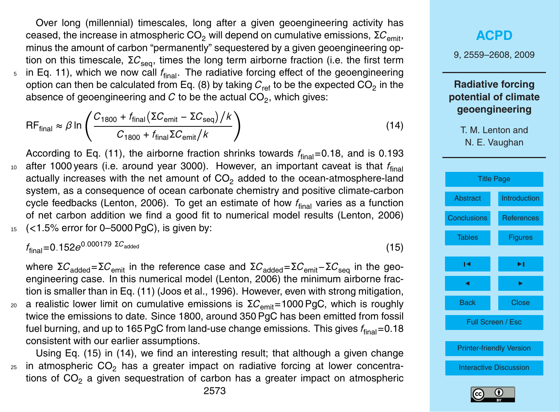Over long (millennial) timescales, long after a given geoengineering activity has ceased, the increase in atmospheric  $CO<sub>2</sub>$  will depend on cumulative emissions,  $\Sigma C_{\text{emit}}$ , minus the amount of carbon "permanently" sequestered by a given geoengineering option on this timescale, ΣC<sub>seq</sub>, times the long term airborne fraction (i.e. the first term  $\frac{1}{5}$  in Eq. 11), which we now call  $f_{\text{final}}$ . The radiative forcing effect of the geoengineering option can then be calculated from Eq. (8) by taking  $C_{\sf ref}$  to be the expected CO<sub>2</sub> in the absence of geoengineering and  $C$  to be the actual  $\mathsf{CO}_2$ , which gives:

$$
\mathsf{RF}_{\text{final}} \approx \beta \ln \left( \frac{C_{1800} + f_{\text{final}} (\Sigma C_{\text{emit}} - \Sigma C_{\text{seq}})/k}{C_{1800} + f_{\text{final}} \Sigma C_{\text{emit}}/k} \right)
$$
(14)

According to Eq. (11), the airborne fraction shrinks towards  $f_{final}=0.18$ , and is 0.193  $10$  after 1000 years (i.e. around year 3000). However, an important caveat is that  $f_{final}$ actually increases with the net amount of  $CO<sub>2</sub>$  added to the ocean-atmosphere-land system, as a consequence of ocean carbonate chemistry and positive climate-carbon cycle feedbacks (Lenton, 2006). To get an estimate of how  $f_{final}$  varies as a function of net carbon addition we find a good fit to numerical model results (Lenton, 2006) <sup>15</sup> (*<*1.5% error for 0–5000 PgC), is given by:

 $f_{\text{final}}$ =0.152*e*<sup>0.000179 Σ $C_{\text{added}}$  (15)</sup>

where  $\Sigma C_{\text{added}} = \Sigma C_{\text{emit}}$  in the reference case and  $\Sigma C_{\text{added}} = \Sigma C_{\text{emit}} - \Sigma C_{\text{seq}}$  in the geoengineering case. In this numerical model (Lenton, 2006) the minimum airborne fraction is smaller than in Eq. (11) (Joos et al., 1996). However, even with strong mitigation, <sup>20</sup> a realistic lower limit on cumulative emissions is  $\Sigma C_{\text{emit}}$ =1000 PgC, which is roughly twice the emissions to date. Since 1800, around 350 PgC has been emitted from fossil fuel burning, and up to 165 PgC from land-use change emissions. This gives  $f_{\text{final}} = 0.18$ consistent with our earlier assumptions.

Using Eq. (15) in (14), we find an interesting result; that although a given change  $25$  in atmospheric CO<sub>2</sub> has a greater impact on radiative forcing at lower concentrations of  $CO<sub>2</sub>$  a given sequestration of carbon has a greater impact on atmospheric

2573

#### **[ACPD](http://www.atmos-chem-phys-discuss.net)**

9, 2559–2608, 2009

## **Radiative forcing potential of climate geoengineering**

- T. M. Lenton and
- N. E. Vaughan



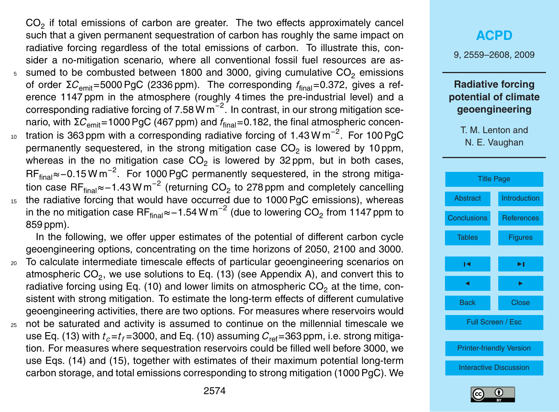$CO<sub>2</sub>$  if total emissions of carbon are greater. The two effects approximately cancel such that a given permanent sequestration of carbon has roughly the same impact on radiative forcing regardless of the total emissions of carbon. To illustrate this, consider a no-mitigation scenario, where all conventional fossil fuel resources are as- $5$  sumed to be combusted between 1800 and 3000, giving cumulative  $CO<sub>2</sub>$  emissions of order Σ*C*emit=5000 PgC (2336 ppm). The corresponding *f*final=0.372, gives a reference 1147 ppm in the atmosphere (roughly 4 times the pre-industrial level) and a corresponding radiative forcing of 7.58 W  $m^{-2}$ . In contrast, in our strong mitigation scenario, with Σ $C_{\text{emit}}=1000$  PgC (467 ppm) and  $f_{\text{final}}=0.182$ , the final atmospheric concen-<sub>10</sub> tration is 363 ppm with a corresponding radiative forcing of 1.43 W m<sup>−2</sup>. For 100 PgC permanently sequestered, in the strong mitigation case  $\mathsf{CO}_2$  is lowered by 10 ppm,

whereas in the no mitigation case  $CO_2$  is lowered by 32 ppm, but in both cases, RF<sub>final</sub>≈−0.15 W m<sup>-2</sup>. For 1000 PgC permanently sequestered, in the strong mitigation case RF<sub>final</sub>≈−1.43 W m<sup>−2</sup> (returning CO<sub>2</sub> to 278 ppm and completely cancelling 15 the radiative forcing that would have occurred due to 1000 PgC emissions), whereas in the no mitigation case RF<sub>final</sub>≈−1.54 W m<sup>−2</sup> (due to lowering CO<sub>2</sub> from 1147 ppm to 859 ppm).

In the following, we offer upper estimates of the potential of different carbon cycle geoengineering options, concentrating on the time horizons of 2050, 2100 and 3000.

- <sup>20</sup> To calculate intermediate timescale effects of particular geoengineering scenarios on atmospheric CO<sub>2</sub>, we use solutions to Eq. (13) (see Appendix A), and convert this to radiative forcing using Eq. (10) and lower limits on atmospheric  $CO<sub>2</sub>$  at the time, consistent with strong mitigation. To estimate the long-term effects of different cumulative geoengineering activities, there are two options. For measures where reservoirs would
- <sup>25</sup> not be saturated and activity is assumed to continue on the millennial timescale we use Eq. (13) with  $t_c = t_f = 3000$ , and Eq. (10) assuming  $C_{ref} = 363$  ppm, i.e. strong mitigation. For measures where sequestration reservoirs could be filled well before 3000, we use Eqs. (14) and (15), together with estimates of their maximum potential long-term carbon storage, and total emissions corresponding to strong mitigation (1000 PgC). We

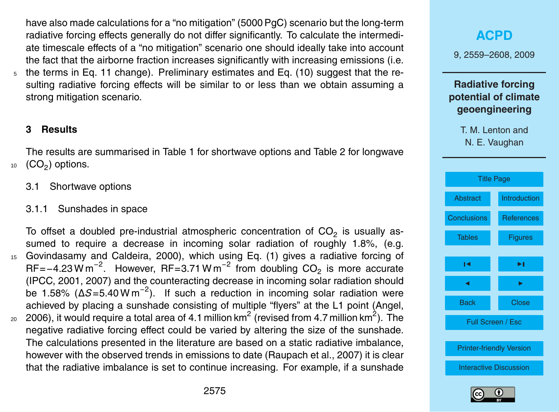have also made calculations for a "no mitigation" (5000 PgC) scenario but the long-term radiative forcing effects generally do not differ significantly. To calculate the intermediate timescale effects of a "no mitigation" scenario one should ideally take into account the fact that the airborne fraction increases significantly with increasing emissions (i.e. <sup>5</sup> the terms in Eq. 11 change). Preliminary estimates and Eq. (10) suggest that the resulting radiative forcing effects will be similar to or less than we obtain assuming a strong mitigation scenario.

#### **3 Results**

The results are summarised in Table 1 for shortwave options and Table 2 for longwave  $10$   $(CO<sub>2</sub>)$  options.

- 3.1 Shortwave options
- 3.1.1 Sunshades in space

To offset a doubled pre-industrial atmospheric concentration of  $CO_2$  is usually assumed to require a decrease in incoming solar radiation of roughly 1.8%, (e.g. <sup>15</sup> Govindasamy and Caldeira, 2000), which using Eq. (1) gives a radiative forcing of RF=−4.23 W m<sup>-2</sup>. However, RF=3.71 W m<sup>-2</sup> from doubling  $CO<sub>2</sub>$  is more accurate (IPCC, 2001, 2007) and the counteracting decrease in incoming solar radiation should be 1.58% (∆*S*=5.40 W m−<sup>2</sup> ). If such a reduction in incoming solar radiation were achieved by placing a sunshade consisting of multiple "flyers" at the L1 point (Angel,

 $_{\rm 20}$  2006), it would require a total area of 4.1 million km $^{2}$  (revised from 4.7 million km $^{2}$ ). The negative radiative forcing effect could be varied by altering the size of the sunshade. The calculations presented in the literature are based on a static radiative imbalance, however with the observed trends in emissions to date (Raupach et al., 2007) it is clear that the radiative imbalance is set to continue increasing. For example, if a sunshade



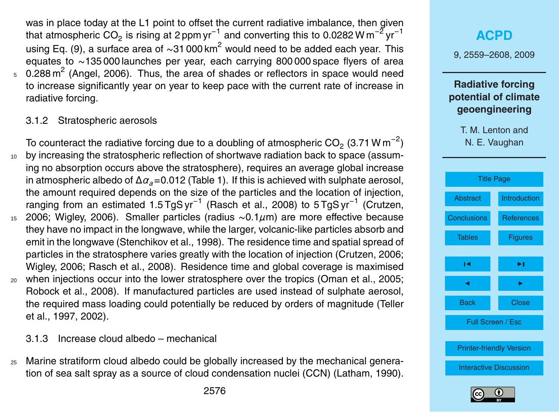was in place today at the L1 point to offset the current radiative imbalance, then given that atmospheric CO<sub>2</sub> is rising at 2 ppm yr $^{-1}$  and converting this to 0.0282 W m $^{-2}$  yr $^{-1}$ using Eq. (9), a surface area of ∼31 000 km<sup>2</sup> would need to be added each year. This equates to ∼135 000 launches per year, each carrying 800 000 space flyers of area  $5$  0.288 m<sup>2</sup> (Angel, 2006). Thus, the area of shades or reflectors in space would need to increase significantly year on year to keep pace with the current rate of increase in radiative forcing.

#### 3.1.2 Stratospheric aerosols

To counteract the radiative forcing due to a doubling of atmospheric CO<sub>2</sub> (3.71 W m<sup>−2</sup>) <sup>10</sup> by increasing the stratospheric reflection of shortwave radiation back to space (assuming no absorption occurs above the stratosphere), requires an average global increase in atmospheric albedo of ∆*αa*=0.012 (Table 1). If this is achieved with sulphate aerosol, the amount required depends on the size of the particles and the location of injection, ranging from an estimated 1.5 TgS yr<sup>-1</sup> (Rasch et al., 2008) to 5 TgS yr<sup>-1</sup> (Crutzen, <sup>15</sup> 2006; Wigley, 2006). Smaller particles (radius ∼0.1*µ*m) are more effective because they have no impact in the longwave, while the larger, volcanic-like particles absorb and emit in the longwave (Stenchikov et al., 1998). The residence time and spatial spread of particles in the stratosphere varies greatly with the location of injection (Crutzen, 2006; Wigley, 2006; Rasch et al., 2008). Residence time and global coverage is maximised <sup>20</sup> when injections occur into the lower stratosphere over the tropics (Oman et al., 2005; Robock et al., 2008). If manufactured particles are used instead of sulphate aerosol, the required mass loading could potentially be reduced by orders of magnitude (Teller et al., 1997, 2002).

3.1.3 Increase cloud albedo – mechanical

<sup>25</sup> Marine stratiform cloud albedo could be globally increased by the mechanical generation of sea salt spray as a source of cloud condensation nuclei (CCN) (Latham, 1990).



[Interactive Discussion](http://www.atmos-chem-phys-discuss.net/9/2559/2009/acpd-9-2559-2009-discussion.html)

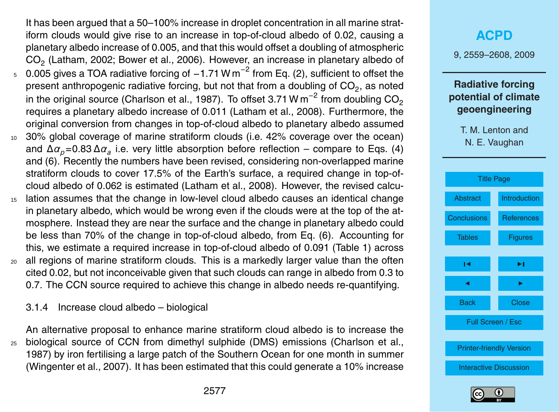It has been argued that a 50–100% increase in droplet concentration in all marine stratiform clouds would give rise to an increase in top-of-cloud albedo of 0.02, causing a planetary albedo increase of 0.005, and that this would offset a doubling of atmospheric  $\mathsf{CO}_2$  (Latham, 2002; Bower et al., 2006). However, an increase in planetary albedo of

- 5 0.005 gives a TOA radiative forcing of -1.71 W m<sup>-2</sup> from Eq. (2), sufficient to offset the present anthropogenic radiative forcing, but not that from a doubling of CO<sub>2</sub>, as noted in the original source (Charlson et al., 1987). To offset 3.71 W m $^{-2}$  from doubling CO $_{\rm 2}$ requires a planetary albedo increase of 0.011 (Latham et al., 2008). Furthermore, the original conversion from changes in top-of-cloud albedo to planetary albedo assumed
- <sup>10</sup> 30% global coverage of marine stratiform clouds (i.e. 42% coverage over the ocean) and ∆*αp*=0.83 ∆*α<sup>a</sup>* i.e. very little absorption before reflection – compare to Eqs. (4) and (6). Recently the numbers have been revised, considering non-overlapped marine stratiform clouds to cover 17.5% of the Earth's surface, a required change in top-ofcloud albedo of 0.062 is estimated (Latham et al., 2008). However, the revised calcu-
- <sup>15</sup> lation assumes that the change in low-level cloud albedo causes an identical change in planetary albedo, which would be wrong even if the clouds were at the top of the atmosphere. Instead they are near the surface and the change in planetary albedo could be less than 70% of the change in top-of-cloud albedo, from Eq. (6). Accounting for this, we estimate a required increase in top-of-cloud albedo of 0.091 (Table 1) across <sup>20</sup> all regions of marine stratiform clouds. This is a markedly larger value than the often
- cited 0.02, but not inconceivable given that such clouds can range in albedo from 0.3 to 0.7. The CCN source required to achieve this change in albedo needs re-quantifying.

3.1.4 Increase cloud albedo – biological

An alternative proposal to enhance marine stratiform cloud albedo is to increase the <sup>25</sup> biological source of CCN from dimethyl sulphide (DMS) emissions (Charlson et al., 1987) by iron fertilising a large patch of the Southern Ocean for one month in summer (Wingenter et al., 2007). It has been estimated that this could generate a 10% increase

## **[ACPD](http://www.atmos-chem-phys-discuss.net)** 9, 2559–2608, 2009 **Radiative forcing potential of climate geoengineering** T. M. Lenton and N. E. Vaughan [Title Page](#page-0-0) [Abstract](#page-1-0) [Introduction](#page-2-0) [Conclusions](#page-35-0) [References](#page-40-0) [Tables](#page-47-0) [Figures](#page-49-0)  $\sim$  J  $\sim$ J I Back Close Full Screen / Esc [Printer-friendly Version](http://www.atmos-chem-phys-discuss.net/9/2559/2009/acpd-9-2559-2009-print.pdf) [Interactive Discussion](http://www.atmos-chem-phys-discuss.net/9/2559/2009/acpd-9-2559-2009-discussion.html)

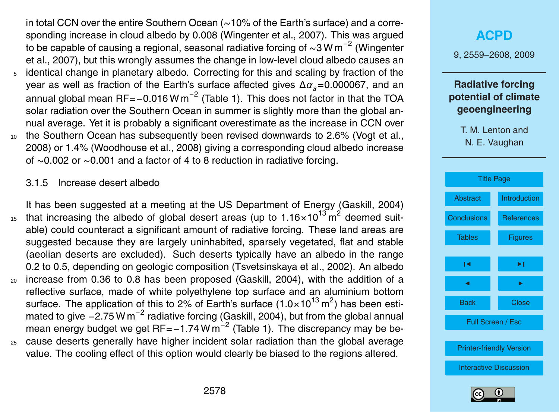in total CCN over the entire Southern Ocean (∼10% of the Earth's surface) and a corresponding increase in cloud albedo by 0.008 (Wingenter et al., 2007). This was argued to be capable of causing a regional, seasonal radiative forcing of ~3 W m $^{-2}$  (Wingenter et al., 2007), but this wrongly assumes the change in low-level cloud albedo causes an <sup>5</sup> identical change in planetary albedo. Correcting for this and scaling by fraction of the year as well as fraction of the Earth's surface affected gives ∆*αa*=0.000067, and an annual global mean RF=−0.016 W m<sup>−2</sup> (Table 1). This does not factor in that the TOA solar radiation over the Southern Ocean in summer is slightly more than the global annual average. Yet it is probably a significant overestimate as the increase in CCN over 10 the Southern Ocean has subsequently been revised downwards to 2.6% (Vogt et al., 2008) or 1.4% (Woodhouse et al., 2008) giving a corresponding cloud albedo increase of ∼0.002 or ∼0.001 and a factor of 4 to 8 reduction in radiative forcing.

#### 3.1.5 Increase desert albedo

It has been suggested at a meeting at the US Department of Energy (Gaskill, 2004) 15 that increasing the albedo of global desert areas (up to  $1.16 \times 10^{13}$  m<sup>2</sup> deemed suitable) could counteract a significant amount of radiative forcing. These land areas are suggested because they are largely uninhabited, sparsely vegetated, flat and stable (aeolian deserts are excluded). Such deserts typically have an albedo in the range 0.2 to 0.5, depending on geologic composition (Tsvetsinskaya et al., 2002). An albedo <sup>20</sup> increase from 0.36 to 0.8 has been proposed (Gaskill, 2004), with the addition of a reflective surface, made of white polyethylene top surface and an aluminium bottom surface. The application of this to 2% of Earth's surface (1.0×10<sup>13</sup> m<sup>2</sup>) has been estimated to give  $-2.75$  W m<sup>-2</sup> radiative forcing (Gaskill, 2004), but from the global annual mean energy budget we get RF=-1.74 W  $m^{-2}$  (Table 1). The discrepancy may be be-<sup>25</sup> cause deserts generally have higher incident solar radiation than the global average

value. The cooling effect of this option would clearly be biased to the regions altered.





[Printer-friendly Version](http://www.atmos-chem-phys-discuss.net/9/2559/2009/acpd-9-2559-2009-print.pdf)

[Interactive Discussion](http://www.atmos-chem-phys-discuss.net/9/2559/2009/acpd-9-2559-2009-discussion.html)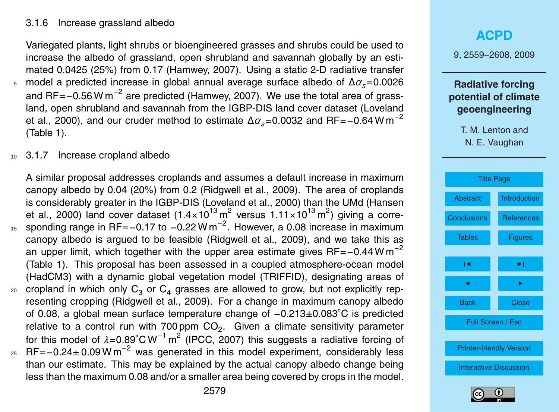#### 3.1.6 Increase grassland albedo

Variegated plants, light shrubs or bioengineered grasses and shrubs could be used to increase the albedo of grassland, open shrubland and savannah globally by an estimated 0.0425 (25%) from 0.17 (Hamwey, 2007). Using a static 2-D radiative transfer <sup>5</sup> model a predicted increase in global annual average surface albedo of ∆*αs*=0.0026 and RF=−0.56 W m<sup>−2</sup> are predicted (Hamwey, 2007). We use the total area of grassland, open shrubland and savannah from the IGBP-DIS land cover dataset (Loveland et al., 2000), and our cruder method to estimate  $\Delta \alpha_s$ =0.0032 and RF=-0.64 W m<sup>-2</sup> (Table 1).

<sup>10</sup> 3.1.7 Increase cropland albedo

A similar proposal addresses croplands and assumes a default increase in maximum canopy albedo by 0.04 (20%) from 0.2 (Ridgwell et al., 2009). The area of croplands is considerably greater in the IGBP-DIS (Loveland et al., 2000) than the UMd (Hansen et al., 2000) land cover dataset (1.4×10<sup>13</sup> m<sup>2</sup> versus 1.11×10<sup>13</sup> m<sup>2</sup>) giving a corre-15 sponding range in RF=-0.17 to -0.22 W m<sup>-2</sup>. However, a 0.08 increase in maximum canopy albedo is argued to be feasible (Ridgwell et al., 2009), and we take this as an upper limit, which together with the upper area estimate gives RF=−0.44 W m<sup>-2</sup> (Table 1). This proposal has been assessed in a coupled atmosphere-ocean model (HadCM3) with a dynamic global vegetation model (TRIFFID), designating areas of <sub>20</sub> cropland in which only  $C_3$  or  $C_4$  grasses are allowed to grow, but not explicitly representing cropping (Ridgwell et al., 2009). For a change in maximum canopy albedo of 0.08, a global mean surface temperature change of −0.213±0.083◦C is predicted relative to a control run with 700 ppm  $CO_2$ . Given a climate sensitivity parameter for this model of *λ*=0.89°CW<sup>-1</sup> m<sup>2</sup> (IPCC, 2007) this suggests a radiative forcing of  $25$  RF=−0.24± 0.09 W m<sup>-2</sup> was generated in this model experiment, considerably less than our estimate. This may be explained by the actual canopy albedo change being less than the maximum 0.08 and/or a smaller area being covered by crops in the model.

## **[ACPD](http://www.atmos-chem-phys-discuss.net)** 9, 2559–2608, 2009 **Radiative forcing potential of climate geoengineering** T. M. Lenton and N. E. Vaughan [Title Page](#page-0-0) [Abstract](#page-1-0) [Introduction](#page-2-0) [Conclusions](#page-35-0) [References](#page-40-0) [Tables](#page-47-0) **[Figures](#page-49-0)**  $\sim$  J  $\sim$ J I Back Close Full Screen / Esc [Printer-friendly Version](http://www.atmos-chem-phys-discuss.net/9/2559/2009/acpd-9-2559-2009-print.pdf)



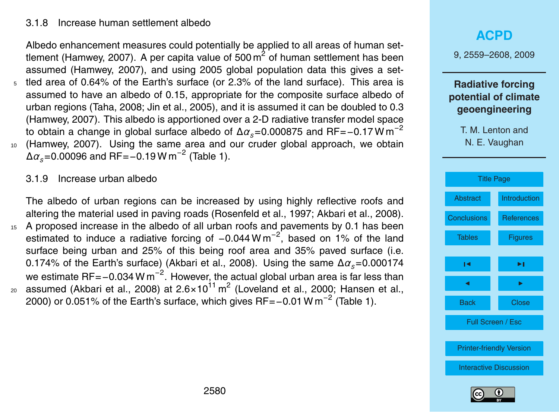#### 3.1.8 Increase human settlement albedo

Albedo enhancement measures could potentially be applied to all areas of human settlement (Hamwey, 2007). A per capita value of 500 m<sup>2</sup> of human settlement has been assumed (Hamwey, 2007), and using 2005 global population data this gives a settled area of 0.64% of the Earth's surface (or 2.3% of the land surface). This area is assumed to have an albedo of 0.15, appropriate for the composite surface albedo of urban regions (Taha, 2008; Jin et al., 2005), and it is assumed it can be doubled to 0.3 (Hamwey, 2007). This albedo is apportioned over a 2-D radiative transfer model space to obtain a change in global surface albedo of <sup>∆</sup>*αs*=0.000875 and RF=−0.17 W m−<sup>2</sup> <sup>10</sup> (Hamwey, 2007). Using the same area and our cruder global approach, we obtain  $Δα<sub>s</sub>=0.00096$  and RF= $-0.19$  W m<sup>-2</sup> (Table 1).

3.1.9 Increase urban albedo

The albedo of urban regions can be increased by using highly reflective roofs and altering the material used in paving roads (Rosenfeld et al., 1997; Akbari et al., 2008). <sup>15</sup> A proposed increase in the albedo of all urban roofs and pavements by 0.1 has been estimated to induce a radiative forcing of  $-0.044$  W m<sup>-2</sup>, based on 1% of the land surface being urban and 25% of this being roof area and 35% paved surface (i.e. 0.174% of the Earth's surface) (Akbari et al., 2008). Using the same ∆*αs*=0.000174 we estimate RF=−0.034 W m $^{-2}$ . However, the actual global urban area is far less than  $_{\rm 20}$  assumed (Akbari et al., 2008) at 2.6×10 $^{11}$  m<sup>2</sup> (Loveland et al., 2000; Hansen et al., 2000) or 0.051% of the Earth's surface, which gives RF=-0.01 W m<sup>-2</sup> (Table 1).



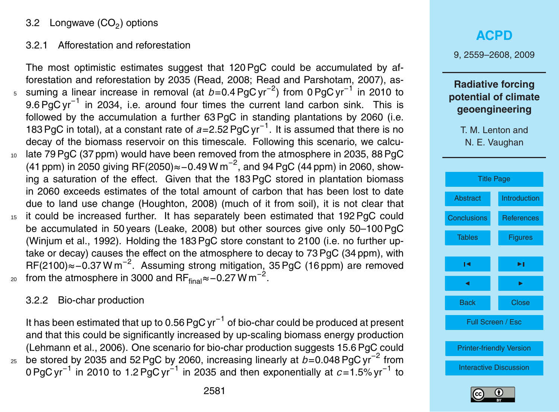## 3.2 Longwave (CO $_2$ ) options

#### 3.2.1 Afforestation and reforestation

The most optimistic estimates suggest that 120 PgC could be accumulated by afforestation and reforestation by 2035 (Read, 2008; Read and Parshotam, 2007), as-<sub>5</sub> suming a linear increase in removal (at *b*=0.4 PgC yr<sup>-2</sup>) from 0 PgC yr<sup>-1</sup> in 2010 to 9.6 PgC yr<sup>-1</sup> in 2034, i.e. around four times the current land carbon sink. This is followed by the accumulation a further 63 PgC in standing plantations by 2060 (i.e. 183 PgC in total), at a constant rate of *a*=2.52 PgC yr−<sup>1</sup> . It is assumed that there is no decay of the biomass reservoir on this timescale. Following this scenario, we calcu-<sup>10</sup> late 79 PgC (37 ppm) would have been removed from the atmosphere in 2035, 88 PgC (41 ppm) in 2050 giving RF(2050)≈ – 0.49 W m<sup>-2</sup>, and 94 PgC (44 ppm) in 2060, showing a saturation of the effect. Given that the 183 PgC stored in plantation biomass in 2060 exceeds estimates of the total amount of carbon that has been lost to date due to land use change (Houghton, 2008) (much of it from soil), it is not clear that 15 it could be increased further. It has separately been estimated that 192 PgC could be accumulated in 50 years (Leake, 2008) but other sources give only 50–100 PgC (Winjum et al., 1992). Holding the 183 PgC store constant to 2100 (i.e. no further uptake or decay) causes the effect on the atmosphere to decay to 73 PgC (34 ppm), with RF(2100)≈-0.37 W m<sup>-2</sup>. Assuming strong mitigation, 35 PgC (16 ppm) are removed  $_{20}$  from the atmosphere in 3000 and  $\mathsf{RF}_{\mathsf{final}}\!\approx\!-0.27\,\mathsf{W}\,\mathsf{m}^{-2}.$ 

#### 3.2.2 Bio-char production

It has been estimated that up to 0.56 PgC yr<sup>−1</sup> of bio-char could be produced at present and that this could be significantly increased by up-scaling biomass energy production (Lehmann et al., 2006). One scenario for bio-char production suggests 15.6 PgC could 25 be stored by 2035 and 52 PgC by 2060, increasing linearly at *b*=0.048 PgC yr<sup>-2</sup> from 0 PgC yr<sup>-1</sup> in 2010 to 1.2 PgC yr<sup>-1</sup> in 2035 and then exponentially at *c*=1.5% yr<sup>-1</sup> to

## 9, 2559–2608, 2009 **Radiative forcing potential of climate geoengineering**

**[ACPD](http://www.atmos-chem-phys-discuss.net)**



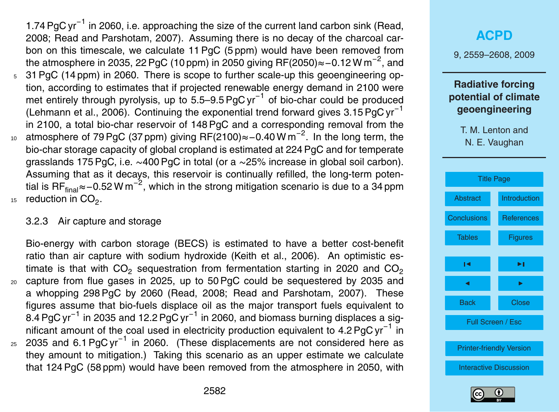1.74 PgC yr<sup>-1</sup> in 2060, i.e. approaching the size of the current land carbon sink (Read, 2008; Read and Parshotam, 2007). Assuming there is no decay of the charcoal carbon on this timescale, we calculate 11 PgC (5 ppm) would have been removed from the atmosphere in 2035, 22 PgC (10 ppm) in 2050 giving RF(2050)≈−0.12 W m<sup>−2</sup>, and <sup>5</sup> 31 PgC (14 ppm) in 2060. There is scope to further scale-up this geoengineering option, according to estimates that if projected renewable energy demand in 2100 were met entirely through pyrolysis, up to 5.5–9.5 PgC yr<sup>-1</sup> of bio-char could be produced (Lehmann et al., 2006). Continuing the exponential trend forward gives 3.15 PgC yr−<sup>1</sup> in 2100, a total bio-char reservoir of 148 PgC and a corresponding removal from the 10 atmosphere of 79 PgC (37 ppm) giving RF(2100)≈-0.40 W m<sup>-2</sup>. In the long term, the bio-char storage capacity of global cropland is estimated at 224 PgC and for temperate grasslands 175 PgC, i.e. ∼400 PgC in total (or a ∼25% increase in global soil carbon). Assuming that as it decays, this reservoir is continually refilled, the long-term potential is RF<sub>final</sub>≈−0.52 W m<sup>−2</sup>, which in the strong mitigation scenario is due to a 34 ppm

15 reduction in  $CO<sub>2</sub>$ .

### 3.2.3 Air capture and storage

Bio-energy with carbon storage (BECS) is estimated to have a better cost-benefit ratio than air capture with sodium hydroxide (Keith et al., 2006). An optimistic estimate is that with  $CO<sub>2</sub>$  sequestration from fermentation starting in 2020 and  $CO<sub>2</sub>$ <sup>20</sup> capture from flue gases in 2025, up to 50 PgC could be sequestered by 2035 and a whopping 298 PgC by 2060 (Read, 2008; Read and Parshotam, 2007). These figures assume that bio-fuels displace oil as the major transport fuels equivalent to 8.4 PgC yr<sup>−1</sup> in 2035 and 12.2 PgC yr<sup>−1</sup> in 2060, and biomass burning displaces a significant amount of the coal used in electricity production equivalent to 4.2 PgC yr<sup>-1</sup> in  $_{25}$  2035 and 6.1 PgC yr<sup>-1</sup> in 2060. (These displacements are not considered here as they amount to mitigation.) Taking this scenario as an upper estimate we calculate



that 124 PgC (58 ppm) would have been removed from the atmosphere in 2050, with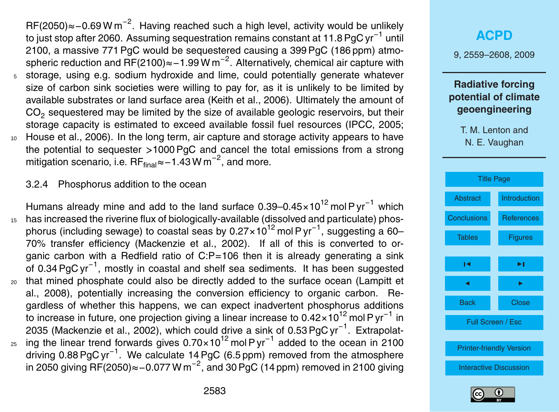RF(2050)≈-0.69 W m<sup>-2</sup>. Having reached such a high level, activity would be unlikely to just stop after 2060. Assuming sequestration remains constant at 11.8 PgC yr<sup>−1</sup> until 2100, a massive 771 PgC would be sequestered causing a 399 PgC (186 ppm) atmospheric reduction and RF(2100)≈-1.99 W m<sup>-2</sup>. Alternatively, chemical air capture with <sup>5</sup> storage, using e.g. sodium hydroxide and lime, could potentially generate whatever size of carbon sink societies were willing to pay for, as it is unlikely to be limited by available substrates or land surface area (Keith et al., 2006). Ultimately the amount of  $\mathsf{CO}_2$  sequestered may be limited by the size of available geologic reservoirs, but their storage capacity is estimated to exceed available fossil fuel resources (IPCC, 2005; <sup>10</sup> House et al., 2006). In the long term, air capture and storage activity appears to have the potential to sequester *>*1000 PgC and cancel the total emissions from a strong mitigation scenario, i.e.  $\mathsf{RF}_{\mathsf{final}}$ ≈−1.43 W m $^{-2}$ , and more.

3.2.4 Phosphorus addition to the ocean

Humans already mine and add to the land surface  $0.39-0.45\times10^{12}$  mol P yr<sup>-1</sup> which <sup>15</sup> has increased the riverine flux of biologically-available (dissolved and particulate) phosphorus (including sewage) to coastal seas by 0.27×10<sup>12</sup> mol P yr<sup>−1</sup>, suggesting a 60– 70% transfer efficiency (Mackenzie et al., 2002). If all of this is converted to organic carbon with a Redfield ratio of  $C.P = 106$  then it is already generating a sink of 0.34 PgC yr−<sup>1</sup> , mostly in coastal and shelf sea sediments. It has been suggested <sup>20</sup> that mined phosphate could also be directly added to the surface ocean (Lampitt et al., 2008), potentially increasing the conversion efficiency to organic carbon. Regardless of whether this happens, we can expect inadvertent phosphorus additions to increase in future, one projection giving a linear increase to 0.42×10<sup>12</sup> mol P yr<sup>−1</sup> in 2035 (Mackenzie et al., 2002), which could drive a sink of 0.53 PgC yr<sup>-1</sup>. Extrapolat-25 ing the linear trend forwards gives 0.70×10<sup>12</sup> mol P yr<sup>-1</sup> added to the ocean in 2100 driving 0.88 PgC yr<sup>-1</sup>. We calculate 14 PgC (6.5 ppm) removed from the atmosphere in 2050 giving RF(2050)≈–0.077 W m<sup>-2</sup>, and 30 PgC (14 ppm) removed in 2100 giving



[Printer-friendly Version](http://www.atmos-chem-phys-discuss.net/9/2559/2009/acpd-9-2559-2009-print.pdf)

[Interactive Discussion](http://www.atmos-chem-phys-discuss.net/9/2559/2009/acpd-9-2559-2009-discussion.html)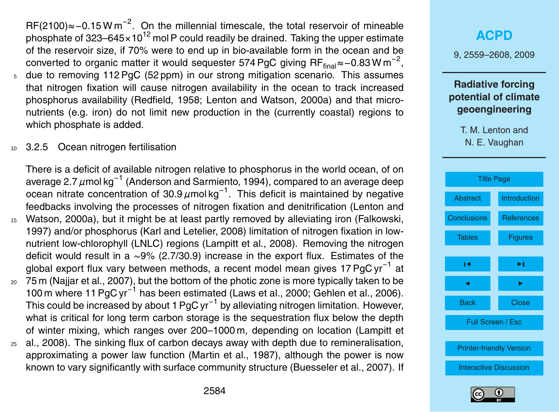RF(2100)≈-0.15 W m<sup>-2</sup>. On the millennial timescale, the total reservoir of mineable phosphate of  $323-645 \times 10^{12}$  mol P could readily be drained. Taking the upper estimate of the reservoir size, if 70% were to end up in bio-available form in the ocean and be converted to organic matter it would sequester 574 PgC giving RF $_{\sf final}$ ≈−0.83Wm<sup>−2</sup>,

- <sup>5</sup> due to removing 112 PgC (52 ppm) in our strong mitigation scenario. This assumes that nitrogen fixation will cause nitrogen availability in the ocean to track increased phosphorus availability (Redfield, 1958; Lenton and Watson, 2000a) and that micronutrients (e.g. iron) do not limit new production in the (currently coastal) regions to which phosphate is added.
- 10 3.2.5 Ocean nitrogen fertilisation

There is a deficit of available nitrogen relative to phosphorus in the world ocean, of on average 2.7 *µ*mol kg−<sup>1</sup> (Anderson and Sarmiento, 1994), compared to an average deep ocean nitrate concentration of 30.9 μmol kg<sup>-1</sup>. This deficit is maintained by negative feedbacks involving the processes of nitrogen fixation and denitrification (Lenton and <sup>15</sup> Watson, 2000a), but it might be at least partly removed by alleviating iron (Falkowski, 1997) and/or phosphorus (Karl and Letelier, 2008) limitation of nitrogen fixation in lownutrient low-chlorophyll (LNLC) regions (Lampitt et al., 2008). Removing the nitrogen deficit would result in a ∼9% (2.7/30.9) increase in the export flux. Estimates of the global export flux vary between methods, a recent model mean gives 17 PgC yr<sup>-1</sup> at <sup>20</sup> 75 m (Najjar et al., 2007), but the bottom of the photic zone is more typically taken to be

- 100 m where 11 PgC yr<sup>-1</sup> has been estimated (Laws et al., 2000; Gehlen et al., 2006). This could be increased by about 1 PgC yr<sup>-1</sup> by alleviating nitrogen limitation. However, what is critical for long term carbon storage is the sequestration flux below the depth of winter mixing, which ranges over 200–1000 m, depending on location (Lampitt et
- $25$  al., 2008). The sinking flux of carbon decays away with depth due to remineralisation, approximating a power law function (Martin et al., 1987), although the power is now known to vary significantly with surface community structure (Buesseler et al., 2007). If

## **[ACPD](http://www.atmos-chem-phys-discuss.net)** 9, 2559–2608, 2009 **Radiative forcing potential of climate geoengineering** T. M. Lenton and N. E. Vaughan [Title Page](#page-0-0) [Abstract](#page-1-0) [Introduction](#page-2-0) [Conclusions](#page-35-0) Reference [Tables](#page-47-0) [Figures](#page-49-0)  $\sim$  J  $\sim$ J I Back Close Full Screen / Esc



[Printer-friendly Version](http://www.atmos-chem-phys-discuss.net/9/2559/2009/acpd-9-2559-2009-print.pdf)

[Interactive Discussion](http://www.atmos-chem-phys-discuss.net/9/2559/2009/acpd-9-2559-2009-discussion.html)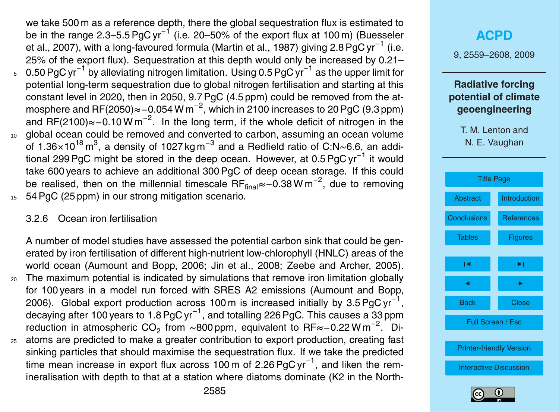we take 500 m as a reference depth, there the global sequestration flux is estimated to be in the range 2.3–5.5 PgC yr<sup>−1</sup> (i.e. 20–50% of the export flux at 100 m) (Buesseler et al., 2007), with a long-favoured formula (Martin et al., 1987) giving 2.8 PgC yr<sup>−1</sup> (i.e. 25% of the export flux). Sequestration at this depth would only be increased by 0.21– 0.50 PgC yr−<sup>1</sup> by alleviating nitrogen limitation. Using 0.5 PgC yr−<sup>1</sup> <sup>5</sup> as the upper limit for potential long-term sequestration due to global nitrogen fertilisation and starting at this constant level in 2020, then in 2050, 9.7 PgC (4.5 ppm) could be removed from the atmosphere and RF(2050)≈−0.054 W m<sup>−2</sup>, which in 2100 increases to 20 PgC (9.3 ppm) and RF(2100)≈-0.10 W m<sup>-2</sup>. In the long term, if the whole deficit of nitrogen in the <sup>10</sup> global ocean could be removed and converted to carbon, assuming an ocean volume of 1.36×10<sup>18</sup> m<sup>3</sup>, a density of 1027 kg m<sup>-3</sup> and a Redfield ratio of C:N~6.6, an additional 299 PgC might be stored in the deep ocean. However, at 0.5 PgC yr<sup>−1</sup> it would take 600 years to achieve an additional 300 PgC of deep ocean storage. If this could be realised, then on the millennial timescale RF<sub>final</sub>≈−0.38 W m<sup>-2</sup>, due to removing <sup>15</sup> 54 PgC (25 ppm) in our strong mitigation scenario.

#### 3.2.6 Ocean iron fertilisation

A number of model studies have assessed the potential carbon sink that could be generated by iron fertilisation of different high-nutrient low-chlorophyll (HNLC) areas of the world ocean (Aumount and Bopp, 2006; Jin et al., 2008; Zeebe and Archer, 2005). <sup>20</sup> The maximum potential is indicated by simulations that remove iron limitation globally for 100 years in a model run forced with SRES A2 emissions (Aumount and Bopp, 2006). Global export production across 100 m is increased initially by 3.5 PgC yr<sup>-1</sup>, decaying after 100 years to 1.8 PgC yr $^{-1}$ , and totalling 226 PgC. This causes a 33 ppm reduction in atmospheric CO<sub>2</sub> from ~800 ppm, equivalent to RF≈-0.22 W m<sup>-2</sup>. Di-

<sup>25</sup> atoms are predicted to make a greater contribution to export production, creating fast sinking particles that should maximise the sequestration flux. If we take the predicted time mean increase in export flux across 100 m of 2.26 PgC yr<sup>-1</sup>, and liken the remineralisation with depth to that at a station where diatoms dominate (K2 in the North-

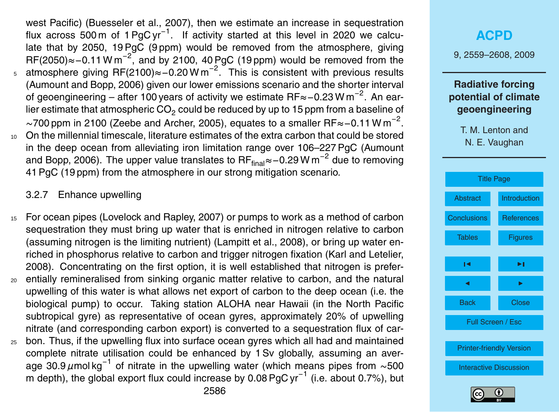west Pacific) (Buesseler et al., 2007), then we estimate an increase in sequestration flux across 500 m of 1 PgC yr<sup>-1</sup>. If activity started at this level in 2020 we calculate that by 2050, 19 PgC (9 ppm) would be removed from the atmosphere, giving RF(2050)≈-0.11 W m<sup>-2</sup>, and by 2100, 40 PgC (19 ppm) would be removed from the <sub>5</sub> atmosphere giving RF(2100)≈-0.20 W m<sup>-2</sup>. This is consistent with previous results (Aumount and Bopp, 2006) given our lower emissions scenario and the shorter interval of geoengineering – after 100 years of activity we estimate RF≈ – 0.23 W m<sup>−2</sup>. An earlier estimate that atmospheric  $CO<sub>2</sub>$  could be reduced by up to 15 ppm from a baseline of  $\sim$ 700 ppm in 2100 (Zeebe and Archer, 2005), equates to a smaller RF≈-0.11 W m<sup>-2</sup>. <sup>10</sup> On the millennial timescale, literature estimates of the extra carbon that could be stored in the deep ocean from alleviating iron limitation range over 106–227 PgC (Aumount and Bopp, 2006). The upper value translates to RF<sub>final</sub>≈−0.29 W m<sup>−2</sup> due to removing

41 PgC (19 ppm) from the atmosphere in our strong mitigation scenario.

3.2.7 Enhance upwelling

- <sup>15</sup> For ocean pipes (Lovelock and Rapley, 2007) or pumps to work as a method of carbon sequestration they must bring up water that is enriched in nitrogen relative to carbon (assuming nitrogen is the limiting nutrient) (Lampitt et al., 2008), or bring up water enriched in phosphorus relative to carbon and trigger nitrogen fixation (Karl and Letelier, 2008). Concentrating on the first option, it is well established that nitrogen is prefer-<sup>20</sup> entially remineralised from sinking organic matter relative to carbon, and the natural upwelling of this water is what allows net export of carbon to the deep ocean (i.e. the
- biological pump) to occur. Taking station ALOHA near Hawaii (in the North Pacific subtropical gyre) as representative of ocean gyres, approximately 20% of upwelling nitrate (and corresponding carbon export) is converted to a sequestration flux of car-
- <sup>25</sup> bon. Thus, if the upwelling flux into surface ocean gyres which all had and maintained complete nitrate utilisation could be enhanced by 1 Sv globally, assuming an average 30.9 µmol kg<sup>-1</sup> of nitrate in the upwelling water (which means pipes from ∼500 m depth), the global export flux could increase by 0.08 PgC yr<sup>-1</sup> (i.e. about 0.7%), but



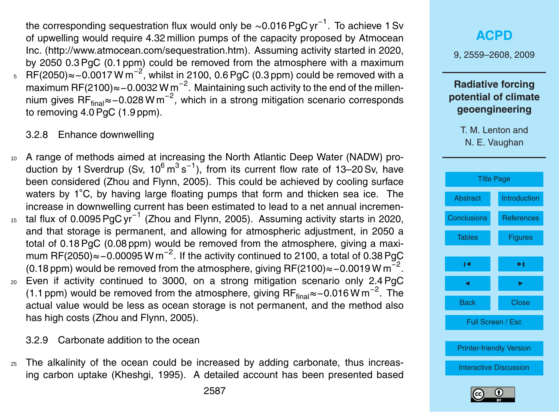the corresponding sequestration flux would only be  $\sim$ 0.016 PgC yr $^{-1}$ . To achieve 1 Sv of upwelling would require 4.32 million pumps of the capacity proposed by Atmocean Inc. [\(http://www.atmocean.com/sequestration.htm\)](http://www.atmocean.com/sequestration.htm). Assuming activity started in 2020, by 2050 0.3 PgC (0.1 ppm) could be removed from the atmosphere with a maximum  $5\quad$  RF(2050)≈−0.0017 W m<sup>−2</sup>, whilst in 2100, 0.6 PgC (0.3 ppm) could be removed with a maximum RF(2100)≈−0.0032 W m<sup>-2</sup>. Maintaining such activity to the end of the millennium gives RF<sub>final</sub>≈−0.028Wm<sup>−2</sup>, which in a strong mitigation scenario corresponds to removing 4.0 PgC (1.9 ppm).

#### 3.2.8 Enhance downwelling

- <sup>10</sup> A range of methods aimed at increasing the North Atlantic Deep Water (NADW) production by 1 Sverdrup (Sv,  $10^6 \text{ m}^3 \text{ s}^{-1}$ ), from its current flow rate of 13–20 Sv, have been considered (Zhou and Flynn, 2005). This could be achieved by cooling surface waters by 1<sup>°</sup>C, by having large floating pumps that form and thicken sea ice. The increase in downwelling current has been estimated to lead to a net annual incremen-<sup>15</sup> tal flux of 0.0095 PgC yr<sup>-1</sup> (Zhou and Flynn, 2005). Assuming activity starts in 2020, and that storage is permanent, and allowing for atmospheric adjustment, in 2050 a total of 0.18 PgC (0.08 ppm) would be removed from the atmosphere, giving a maximum RF(2050)≈-0.00095 W m<sup>-2</sup>. If the activity continued to 2100, a total of 0.38 PgC (0.18 ppm) would be removed from the atmosphere, giving RF(2100)≈–0.0019 W m<sup>-2</sup>. <sup>20</sup> Even if activity continued to 3000, on a strong mitigation scenario only 2.4 PgC (1.1 ppm) would be removed from the atmosphere, giving RF<sub>final</sub>≈−0.016 W m<sup>-2</sup>. The
	- actual value would be less as ocean storage is not permanent, and the method also has high costs (Zhou and Flynn, 2005).

## 3.2.9 Carbonate addition to the ocean

<sup>25</sup> The alkalinity of the ocean could be increased by adding carbonate, thus increasing carbon uptake (Kheshgi, 1995). A detailed account has been presented based

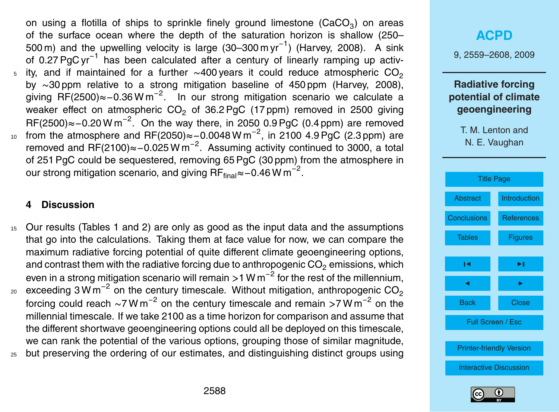on using a flotilla of ships to sprinkle finely ground limestone (CaCO $_3$ ) on areas of the surface ocean where the depth of the saturation horizon is shallow (250– 500 m) and the upwelling velocity is large (30–300 m yr<sup>-1</sup>) (Harvey, 2008). A sink of 0.27 PgC yr<sup>-1</sup> has been calculated after a century of linearly ramping up activity, and if maintained for a further  $\sim$ 400 years it could reduce atmospheric CO<sub>2</sub> 5 by ∼30 ppm relative to a strong mitigation baseline of 450 ppm (Harvey, 2008), giving RF(2500)≈-0.36 W m<sup>-2</sup>. In our strong mitigation scenario we calculate a weaker effect on atmospheric  $CO<sub>2</sub>$  of 36.2 PgC (17 ppm) removed in 2500 giving RF(2500)≈-0.20 W m<sup>-2</sup>. On the way there, in 2050 0.9 PgC (0.4 ppm) are removed 10 from the atmosphere and RF(2050)≈-0.0048 W m<sup>-2</sup>, in 2100 4.9 PgC (2.3 ppm) are removed and RF(2100)≈-0.025 W m<sup>-2</sup>. Assuming activity continued to 3000, a total of 251 PgC could be sequestered, removing 65 PgC (30 ppm) from the atmosphere in our strong mitigation scenario, and giving  $\mathsf{RF}_{\mathsf{final}}$ ≈−0.46 W m<sup>−2</sup>.

#### **4 Discussion**

<sup>15</sup> Our results (Tables 1 and 2) are only as good as the input data and the assumptions that go into the calculations. Taking them at face value for now, we can compare the maximum radiative forcing potential of quite different climate geoengineering options, and contrast them with the radiative forcing due to anthropogenic  $CO<sub>2</sub>$  emissions, which even in a strong mitigation scenario will remain *>*1 W m−<sup>2</sup> for the rest of the millennium, exceeding 3 W m<sup>-2</sup> on the century timescale. Without mitigation, anthropogenic CO<sub>2</sub>  $20$ forcing could reach ∼7 W m<sup>−2</sup> on the century timescale and remain >7 W m<sup>−2</sup> on the millennial timescale. If we take 2100 as a time horizon for comparison and assume that the different shortwave geoengineering options could all be deployed on this timescale, we can rank the potential of the various options, grouping those of similar magnitude, <sup>25</sup> but preserving the ordering of our estimates, and distinguishing distinct groups using

## **[ACPD](http://www.atmos-chem-phys-discuss.net)** 9, 2559–2608, 2009 **Radiative forcing potential of climate geoengineering** T. M. Lenton and N. E. Vaughan [Title Page](#page-0-0) [Abstract](#page-1-0) [Introduction](#page-2-0) [Conclusions](#page-35-0) [References](#page-40-0) [Tables](#page-47-0) **[Figures](#page-49-0)**  $\sim$  J  $\sim$ J I

Back Close

Full Screen / Esc

[Printer-friendly Version](http://www.atmos-chem-phys-discuss.net/9/2559/2009/acpd-9-2559-2009-print.pdf)

[Interactive Discussion](http://www.atmos-chem-phys-discuss.net/9/2559/2009/acpd-9-2559-2009-discussion.html)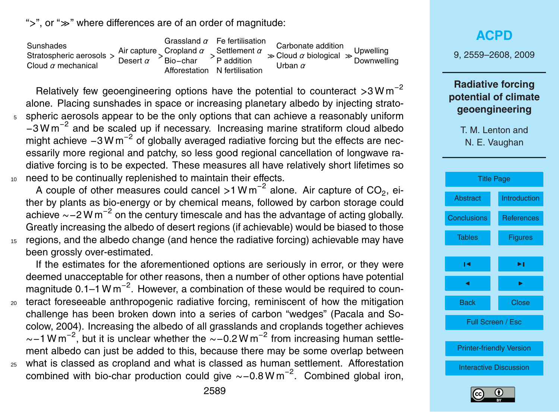">", or " $\gg$ " where differences are of an order of magnitude:

Sunshades Stratospheric aerosols *>* Cloud *α* mechanical Air capture *>* Cropland *α >* Settlement *α* Desert *α* Grassland *α* Fe fertilisation Bio−char Afforestation N fertilisation P addition  $\gg$  Cloud  $\alpha$  biological  $\gg$ Carbonate addition Urban *α* Upwelling **Downwelling** 

Relatively few geoengineering options have the potential to counteract *>*3 W m−<sup>2</sup> alone. Placing sunshades in space or increasing planetary albedo by injecting strato-<sup>5</sup> spheric aerosols appear to be the only options that can achieve a reasonably uniform −3 W m−<sup>2</sup> and be scaled up if necessary. Increasing marine stratiform cloud albedo might achieve  $-3$  W m<sup>-2</sup> of globally averaged radiative forcing but the effects are necessarily more regional and patchy, so less good regional cancellation of longwave radiative forcing is to be expected. These measures all have relatively short lifetimes so <sup>10</sup> need to be continually replenished to maintain their effects.

A couple of other measures could cancel >1 W m<sup>-2</sup> alone. Air capture of CO<sub>2</sub>, either by plants as bio-energy or by chemical means, followed by carbon storage could achieve ~–2 W m<sup>-2</sup> on the century timescale and has the advantage of acting globally. Greatly increasing the albedo of desert regions (if achievable) would be biased to those <sup>15</sup> regions, and the albedo change (and hence the radiative forcing) achievable may have been grossly over-estimated.

If the estimates for the aforementioned options are seriously in error, or they were deemed unacceptable for other reasons, then a number of other options have potential magnitude 0.1–1 W m<sup>-2</sup>. However, a combination of these would be required to coun-<sup>20</sup> teract foreseeable anthropogenic radiative forcing, reminiscent of how the mitigation challenge has been broken down into a series of carbon "wedges" (Pacala and Socolow, 2004). Increasing the albedo of all grasslands and croplands together achieves ~−1 W m<sup>-2</sup>, but it is unclear whether the ~−0.2 W m<sup>-2</sup> from increasing human settlement albedo can just be added to this, because there may be some overlap between <sup>25</sup> what is classed as cropland and what is classed as human settlement. Afforestation combined with bio-char production could give  $\sim$ -0.8 W m<sup>-2</sup>. Combined global iron,

**[ACPD](http://www.atmos-chem-phys-discuss.net)**

9, 2559–2608, 2009

## **Radiative forcing potential of climate geoengineering**



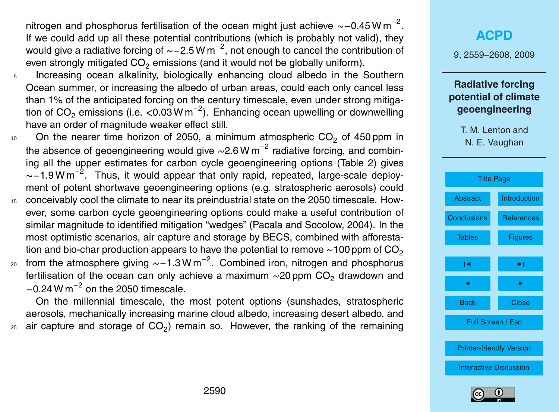nitrogen and phosphorus fertilisation of the ocean might just achieve ~-0.45 W m<sup>-2</sup>. If we could add up all these potential contributions (which is probably not valid), they would give a radiative forcing of  $\sim$  - 2.5 W m<sup>-2</sup>, not enough to cancel the contribution of even strongly mitigated  $CO<sub>2</sub>$  emissions (and it would not be globally uniform).

- <sup>5</sup> Increasing ocean alkalinity, biologically enhancing cloud albedo in the Southern Ocean summer, or increasing the albedo of urban areas, could each only cancel less than 1% of the anticipated forcing on the century timescale, even under strong mitigation of CO<sub>2</sub> emissions (i.e. <0.03 W m<sup>−2</sup>). Enhancing ocean upwelling or downwelling have an order of magnitude weaker effect still.
- 10 On the nearer time horizon of 2050, a minimum atmospheric  $CO<sub>2</sub>$  of 450 ppm in the absence of geoengineering would give ~2.6 W m<sup>-2</sup> radiative forcing, and combining all the upper estimates for carbon cycle geoengineering options (Table 2) gives ~-1.9 W m<sup>-2</sup>. Thus, it would appear that only rapid, repeated, large-scale deployment of potent shortwave geoengineering options (e.g. stratospheric aerosols) could
- <sup>15</sup> conceivably cool the climate to near its preindustrial state on the 2050 timescale. However, some carbon cycle geoengineering options could make a useful contribution of similar magnitude to identified mitigation "wedges" (Pacala and Socolow, 2004). In the most optimistic scenarios, air capture and storage by BECS, combined with afforestation and bio-char production appears to have the potential to remove  $\sim$ 100 ppm of CO<sub>2</sub>
- <sub>20</sub> from the atmosphere giving  $\sim$ −1.3 W m<sup>−2</sup>. Combined iron, nitrogen and phosphorus fertilisation of the ocean can only achieve a maximum ~20 ppm CO<sub>2</sub> drawdown and  $-0.24$  W m<sup> $-2$ </sup> on the 2050 timescale.

On the millennial timescale, the most potent options (sunshades, stratospheric aerosols, mechanically increasing marine cloud albedo, increasing desert albedo, and  $_{25}$  air capture and storage of CO<sub>2</sub>) remain so. However, the ranking of the remaining

## **[ACPD](http://www.atmos-chem-phys-discuss.net)**

9, 2559–2608, 2009

### **Radiative forcing potential of climate geoengineering**



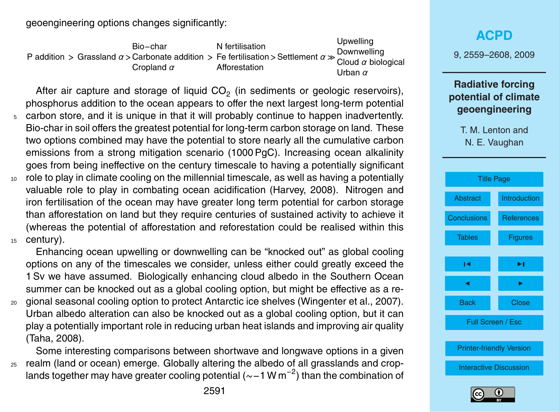geoengineering options changes significantly:

P addition *>* Grassland *α >* Carbonate addition *>* Fe fertilisation *>*Settlement *α* Bio−char Cropland *α* N fertilisation Afforestation Upwelling Downwelling Cloud *α* biological Urban *α*

After air capture and storage of liquid CO<sub>2</sub> (in sediments or geologic reservoirs), phosphorus addition to the ocean appears to offer the next largest long-term potential

- <sup>5</sup> carbon store, and it is unique in that it will probably continue to happen inadvertently. Bio-char in soil offers the greatest potential for long-term carbon storage on land. These two options combined may have the potential to store nearly all the cumulative carbon emissions from a strong mitigation scenario (1000 PgC). Increasing ocean alkalinity goes from being ineffective on the century timescale to having a potentially significant
- <sup>10</sup> role to play in climate cooling on the millennial timescale, as well as having a potentially valuable role to play in combating ocean acidification (Harvey, 2008). Nitrogen and iron fertilisation of the ocean may have greater long term potential for carbon storage than afforestation on land but they require centuries of sustained activity to achieve it (whereas the potential of afforestation and reforestation could be realised within this <sup>15</sup> century).

Enhancing ocean upwelling or downwelling can be "knocked out" as global cooling options on any of the timescales we consider, unless either could greatly exceed the 1 Sv we have assumed. Biologically enhancing cloud albedo in the Southern Ocean summer can be knocked out as a global cooling option, but might be effective as a re-

<sup>20</sup> gional seasonal cooling option to protect Antarctic ice shelves (Wingenter et al., 2007). Urban albedo alteration can also be knocked out as a global cooling option, but it can play a potentially important role in reducing urban heat islands and improving air quality (Taha, 2008).

Some interesting comparisons between shortwave and longwave options in a given <sup>25</sup> realm (land or ocean) emerge. Globally altering the albedo of all grasslands and croplands together may have greater cooling potential (~–1 W m<sup>−2</sup>) than the combination of

## **[ACPD](http://www.atmos-chem-phys-discuss.net)** 9, 2559–2608, 2009 **Radiative forcing potential of climate geoengineering** T. M. Lenton and N. E. Vaughan [Title Page](#page-0-0) [Abstract](#page-1-0) [Introduction](#page-2-0) [Conclusions](#page-35-0) [References](#page-40-0) [Tables](#page-47-0) **[Figures](#page-49-0)**  $\sim$  J  $\sim$ J I Back Close Full Screen / Esc [Printer-friendly Version](http://www.atmos-chem-phys-discuss.net/9/2559/2009/acpd-9-2559-2009-print.pdf) [Interactive Discussion](http://www.atmos-chem-phys-discuss.net/9/2559/2009/acpd-9-2559-2009-discussion.html)

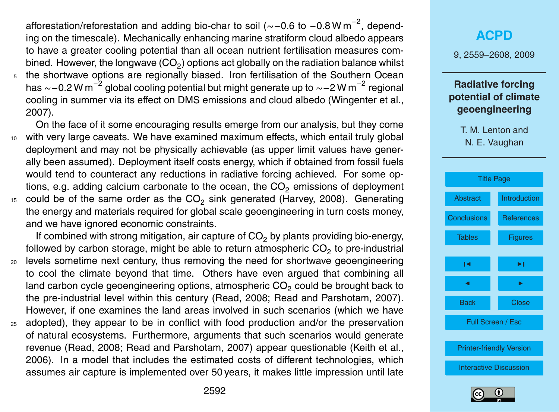afforestation/reforestation and adding bio-char to soil (~-0.6 to -0.8 W m<sup>-2</sup>, depending on the timescale). Mechanically enhancing marine stratiform cloud albedo appears to have a greater cooling potential than all ocean nutrient fertilisation measures combined. However, the longwave (CO<sub>2</sub>) options act globally on the radiation balance whilst <sup>5</sup> the shortwave options are regionally biased. Iron fertilisation of the Southern Ocean has ~−0.2 W m<sup>−2</sup> global cooling potential but might generate up to ~−2 W m<sup>−2</sup> regional cooling in summer via its effect on DMS emissions and cloud albedo (Wingenter et al., 2007).

On the face of it some encouraging results emerge from our analysis, but they come <sup>10</sup> with very large caveats. We have examined maximum effects, which entail truly global deployment and may not be physically achievable (as upper limit values have generally been assumed). Deployment itself costs energy, which if obtained from fossil fuels would tend to counteract any reductions in radiative forcing achieved. For some options, e.g. adding calcium carbonate to the ocean, the  $CO<sub>2</sub>$  emissions of deployment  $15$  could be of the same order as the CO<sub>2</sub> sink generated (Harvey, 2008). Generating the energy and materials required for global scale geoengineering in turn costs money, and we have ignored economic constraints.

If combined with strong mitigation, air capture of  $CO<sub>2</sub>$  by plants providing bio-energy, followed by carbon storage, might be able to return atmospheric CO<sub>2</sub> to pre-industrial

- <sup>20</sup> levels sometime next century, thus removing the need for shortwave geoengineering to cool the climate beyond that time. Others have even argued that combining all land carbon cycle geoengineering options, atmospheric  $CO<sub>2</sub>$  could be brought back to the pre-industrial level within this century (Read, 2008; Read and Parshotam, 2007). However, if one examines the land areas involved in such scenarios (which we have
- <sup>25</sup> adopted), they appear to be in conflict with food production and/or the preservation of natural ecosystems. Furthermore, arguments that such scenarios would generate revenue (Read, 2008; Read and Parshotam, 2007) appear questionable (Keith et al., 2006). In a model that includes the estimated costs of different technologies, which assumes air capture is implemented over 50 years, it makes little impression until late

## **[ACPD](http://www.atmos-chem-phys-discuss.net)** 9, 2559–2608, 2009 **Radiative forcing potential of climate geoengineering** T. M. Lenton and N. E. Vaughan



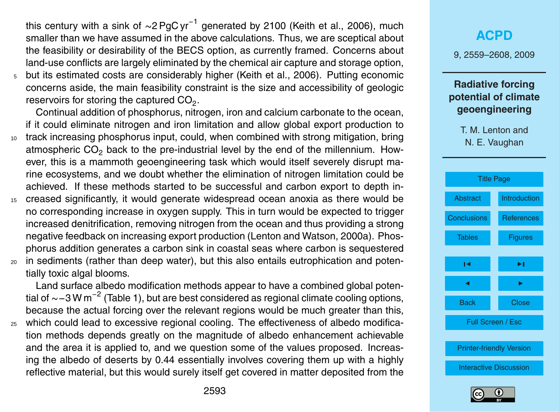this century with a sink of ∼2 PgC yr<sup>−1</sup> generated by 2100 (Keith et al., 2006), much smaller than we have assumed in the above calculations. Thus, we are sceptical about the feasibility or desirability of the BECS option, as currently framed. Concerns about land-use conflicts are largely eliminated by the chemical air capture and storage option, <sup>5</sup> but its estimated costs are considerably higher (Keith et al., 2006). Putting economic concerns aside, the main feasibility constraint is the size and accessibility of geologic reservoirs for storing the captured  $\text{CO}_2$ .

Continual addition of phosphorus, nitrogen, iron and calcium carbonate to the ocean, if it could eliminate nitrogen and iron limitation and allow global export production to <sup>10</sup> track increasing phosphorus input, could, when combined with strong mitigation, bring atmospheric CO<sub>2</sub> back to the pre-industrial level by the end of the millennium. However, this is a mammoth geoengineering task which would itself severely disrupt ma-

- rine ecosystems, and we doubt whether the elimination of nitrogen limitation could be achieved. If these methods started to be successful and carbon export to depth in-
- <sup>15</sup> creased significantly, it would generate widespread ocean anoxia as there would be no corresponding increase in oxygen supply. This in turn would be expected to trigger increased denitrification, removing nitrogen from the ocean and thus providing a strong negative feedback on increasing export production (Lenton and Watson, 2000a). Phosphorus addition generates a carbon sink in coastal seas where carbon is sequestered
- <sup>20</sup> in sediments (rather than deep water), but this also entails eutrophication and potentially toxic algal blooms.

Land surface albedo modification methods appear to have a combined global potential of ∼−3 W m<sup>−2</sup> (Table 1), but are best considered as regional climate cooling options, because the actual forcing over the relevant regions would be much greater than this,

<sup>25</sup> which could lead to excessive regional cooling. The effectiveness of albedo modification methods depends greatly on the magnitude of albedo enhancement achievable and the area it is applied to, and we question some of the values proposed. Increasing the albedo of deserts by 0.44 essentially involves covering them up with a highly reflective material, but this would surely itself get covered in matter deposited from the

## **[ACPD](http://www.atmos-chem-phys-discuss.net)**

9, 2559–2608, 2009

### **Radiative forcing potential of climate geoengineering**



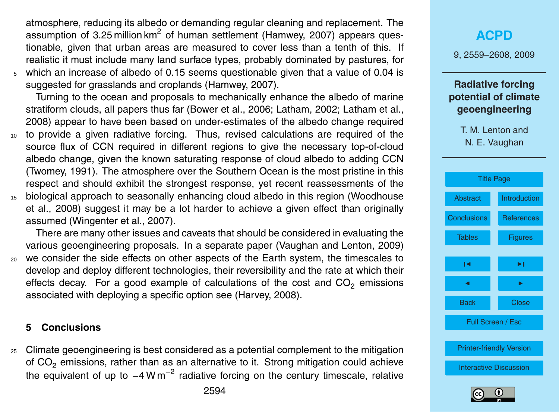<span id="page-35-0"></span>atmosphere, reducing its albedo or demanding regular cleaning and replacement. The assumption of 3.25 million km<sup>2</sup> of human settlement (Hamwey, 2007) appears questionable, given that urban areas are measured to cover less than a tenth of this. If realistic it must include many land surface types, probably dominated by pastures, for <sup>5</sup> which an increase of albedo of 0.15 seems questionable given that a value of 0.04 is

suggested for grasslands and croplands (Hamwey, 2007).

Turning to the ocean and proposals to mechanically enhance the albedo of marine stratiform clouds, all papers thus far (Bower et al., 2006; Latham, 2002; Latham et al., 2008) appear to have been based on under-estimates of the albedo change required

- <sup>10</sup> to provide a given radiative forcing. Thus, revised calculations are required of the source flux of CCN required in different regions to give the necessary top-of-cloud albedo change, given the known saturating response of cloud albedo to adding CCN (Twomey, 1991). The atmosphere over the Southern Ocean is the most pristine in this respect and should exhibit the strongest response, yet recent reassessments of the <sup>15</sup> biological approach to seasonally enhancing cloud albedo in this region (Woodhouse
- et al., 2008) suggest it may be a lot harder to achieve a given effect than originally assumed (Wingenter et al., 2007).

There are many other issues and caveats that should be considered in evaluating the various geoengineering proposals. In a separate paper (Vaughan and Lenton, 2009) <sup>20</sup> we consider the side effects on other aspects of the Earth system, the timescales to develop and deploy different technologies, their reversibility and the rate at which their effects decay. For a good example of calculations of the cost and  $CO<sub>2</sub>$  emissions associated with deploying a specific option see (Harvey, 2008).

#### **5 Conclusions**

<sup>25</sup> Climate geoengineering is best considered as a potential complement to the mitigation of  $CO<sub>2</sub>$  emissions, rather than as an alternative to it. Strong mitigation could achieve the equivalent of up to  $-4$  W m<sup>-2</sup> radiative forcing on the century timescale, relative

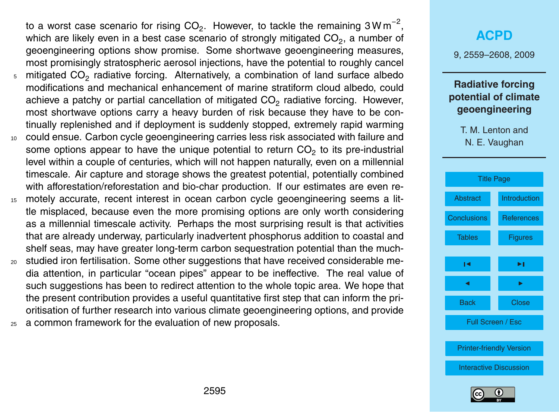to a worst case scenario for rising CO<sub>2</sub>. However, to tackle the remaining 3Wm<sup>-2</sup>, which are likely even in a best case scenario of strongly mitigated CO<sub>2</sub>, a number of geoengineering options show promise. Some shortwave geoengineering measures, most promisingly stratospheric aerosol injections, have the potential to roughly cancel  $_5$  mitigated CO<sub>2</sub> radiative forcing. Alternatively, a combination of land surface albedo modifications and mechanical enhancement of marine stratiform cloud albedo, could achieve a patchy or partial cancellation of mitigated CO<sub>2</sub> radiative forcing. However, most shortwave options carry a heavy burden of risk because they have to be continually replenished and if deployment is suddenly stopped, extremely rapid warming

- <sup>10</sup> could ensue. Carbon cycle geoengineering carries less risk associated with failure and some options appear to have the unique potential to return CO<sub>2</sub> to its pre-industrial level within a couple of centuries, which will not happen naturally, even on a millennial timescale. Air capture and storage shows the greatest potential, potentially combined with afforestation/reforestation and bio-char production. If our estimates are even re-
- <sup>15</sup> motely accurate, recent interest in ocean carbon cycle geoengineering seems a little misplaced, because even the more promising options are only worth considering as a millennial timescale activity. Perhaps the most surprising result is that activities that are already underway, particularly inadvertent phosphorus addition to coastal and shelf seas, may have greater long-term carbon sequestration potential than the much-
- <sup>20</sup> studied iron fertilisation. Some other suggestions that have received considerable media attention, in particular "ocean pipes" appear to be ineffective. The real value of such suggestions has been to redirect attention to the whole topic area. We hope that the present contribution provides a useful quantitative first step that can inform the prioritisation of further research into various climate geoengineering options, and provide
- a common framework for the evaluation of new proposals.

## **[ACPD](http://www.atmos-chem-phys-discuss.net)**

9, 2559–2608, 2009

### **Radiative forcing potential of climate geoengineering**



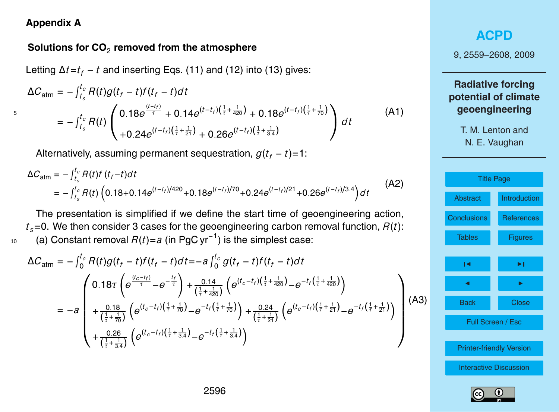#### **Appendix A**

## **Solutions for CO**<sup>2</sup> **removed from the atmosphere**

Letting ∆*t*=*t<sup>f</sup>* − *t* and inserting Eqs. (11) and (12) into (13) gives:

$$
\Delta C_{\text{atm}} = -\int_{t_s}^{t_c} R(t)g(t_f - t)f(t_f - t)dt
$$
  
\n
$$
= -\int_{t_s}^{t_c} R(t) \begin{pmatrix} 0.18e^{\frac{(t-t_f)}{\tau}} + 0.14e^{(t-t_f)(\frac{1}{\tau} + \frac{1}{420})} + 0.18e^{(t-t_f)(\frac{1}{\tau} + \frac{1}{70})} \\ + 0.24e^{(t-t_f)(\frac{1}{\tau} + \frac{1}{21})} + 0.26e^{(t-t_f)(\frac{1}{\tau} + \frac{1}{34})} \end{pmatrix} dt
$$
 (A1)

Alternatively, assuming permanent sequestration,  $g(t_f - t) = 1$ :

$$
\Delta C_{\text{atm}} = -\int_{t_s}^{t_c} R(t) f(t_f - t) dt
$$
  
=  $-\int_{t_s}^{t_c} R(t) \left( 0.18 + 0.14 e^{(t - t_f)/420} + 0.18 e^{(t - t_f)/70} + 0.24 e^{(t - t_f)/21} + 0.26 e^{(t - t_f)/3.4} \right) dt$  (A2)

The presentation is simplified if we define the start time of geoengineering action,  $t_s$ =0. We then consider 3 cases for the geoengineering carbon removal function,  $R(t)$ : (a) Constant removal *R*(*t*)=*a* (in PgC yr−<sup>1</sup> <sup>10</sup> ) is the simplest case:

$$
\Delta C_{\text{atm}} = -\int_{0}^{t_{c}} R(t)g(t_{f} - t)f(t_{f} - t)dt = -a\int_{0}^{t_{c}} g(t_{f} - t)f(t_{f} - t)dt
$$
\n
$$
= -a \left(\begin{array}{c} 0.18\tau \left(e^{\frac{(t_{c} - t_{f})}{\tau}} - e^{-\frac{t_{f}}{\tau}}\right) + \frac{0.14}{\left(\frac{1}{\tau} + \frac{1}{420}\right)} \left(e^{(t_{c} - t_{f})\left(\frac{1}{\tau} + \frac{1}{420}\right)} - e^{-t_{f}\left(\frac{1}{\tau} + \frac{1}{420}\right)}\right) \\ + \frac{0.18}{\left(\frac{1}{\tau} + \frac{1}{70}\right)} \left(e^{(t_{c} - t_{f})\left(\frac{1}{\tau} + \frac{1}{70}\right)} - e^{-t_{f}\left(\frac{1}{\tau} + \frac{1}{70}\right)}\right) + \frac{0.24}{\left(\frac{1}{\tau} + \frac{1}{21}\right)} \left(e^{(t_{c} - t_{f})\left(\frac{1}{\tau} + \frac{1}{21}\right)} - e^{-t_{f}\left(\frac{1}{\tau} + \frac{1}{21}\right)}\right) \\ + \frac{0.26}{\left(\frac{1}{\tau} + \frac{1}{3.4}\right)} \left(e^{(t_{c} - t_{f})\left(\frac{1}{\tau} + \frac{1}{3.4}\right)} - e^{-t_{f}\left(\frac{1}{\tau} + \frac{1}{3.4}\right)}\right)
$$

## **[ACPD](http://www.atmos-chem-phys-discuss.net)**

9, 2559–2608, 2009

**Radiative forcing potential of climate geoengineering**

T. M. Lenton and

N. E. Vaughan



(A3)

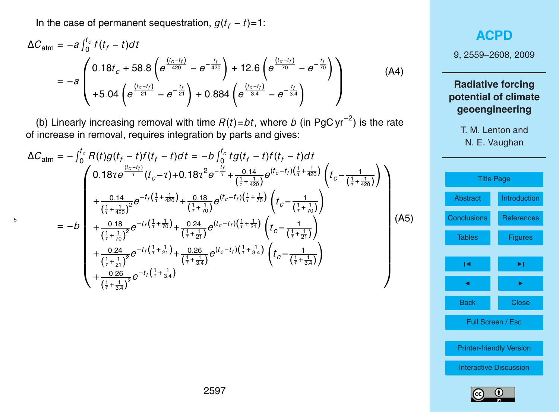In the case of permanent sequestration,  $g(t_f - t) = 1$ :

$$
\Delta C_{\text{atm}} = -a \int_0^{t_c} f(t_f - t) dt
$$
\n
$$
= -a \begin{pmatrix} 0.18t_c + 58.8 \left( e^{\frac{(t_c - t_f)}{420}} - e^{-\frac{t_f}{420}} \right) + 12.6 \left( e^{\frac{(t_c - t_f)}{70}} - e^{-\frac{t_f}{70}} \right) \\ + 5.04 \left( e^{\frac{(t_c - t_f)}{21}} - e^{-\frac{t_f}{21}} \right) + 0.884 \left( e^{\frac{(t_c - t_f)}{3.4}} - e^{-\frac{t_f}{3.4}} \right) \end{pmatrix}
$$
\n(A4)

(b) Linearly increasing removal with time *R*(*t*)=*bt*, where *b* (in PgC yr−<sup>2</sup> ) is the rate of increase in removal, requires integration by parts and gives:

$$
\Delta C_{\text{atm}} = -\int_{0}^{t_{c}} R(t)g(t_{f} - t)f(t_{f} - t)dt = -b\int_{0}^{t_{c}} t g(t_{f} - t)f(t_{f} - t)dt
$$
\n
$$
\begin{pmatrix}\n0.18\tau e^{\frac{(t_{c} - t_{f})}{\tau}}(t_{c} - \tau) + 0.18\tau^{2} e^{-\frac{t_{f}}{\tau}} + \frac{0.14}{(\frac{1}{\tau} + \frac{1}{420})} e^{(t_{c} - t_{f})(\frac{1}{\tau} + \frac{1}{420})}\n\end{pmatrix}\n+ \frac{0.14}{(\frac{1}{\tau} + \frac{1}{420})^{2}} e^{-t_{f}(\frac{1}{\tau} + \frac{1}{420})} + \frac{0.18}{(\frac{1}{\tau} + \frac{1}{70})} e^{(t_{c} - t_{f})(\frac{1}{\tau} + \frac{1}{70})}\n\begin{pmatrix}\nt_{c} - \frac{1}{(\frac{1}{\tau} + \frac{1}{420})}\n\end{pmatrix}\n+ \frac{0.18}{(\frac{1}{\tau} + \frac{1}{40})^{2}} e^{-t_{f}(\frac{1}{\tau} + \frac{1}{70})} + \frac{0.24}{(\frac{1}{\tau} + \frac{1}{21})} e^{(t_{c} - t_{f})(\frac{1}{\tau} + \frac{1}{21})}\n\begin{pmatrix}\nt_{c} - \frac{1}{(\frac{1}{\tau} + \frac{1}{21})}\n\end{pmatrix}\n+ \frac{0.24}{(\frac{1}{\tau} + \frac{1}{21})^{2}} e^{-t_{f}(\frac{1}{\tau} + \frac{1}{21})} + \frac{0.26}{(\frac{1}{\tau} + \frac{1}{3.4})} e^{(t_{c} - t_{f})(\frac{1}{\tau} + \frac{1}{3.4})}\n\begin{pmatrix}\nt_{c} - \frac{1}{(\frac{1}{\tau} + \frac{1}{3.4})}\n\end{pmatrix}
$$
\n(A5)

## **[ACPD](http://www.atmos-chem-phys-discuss.net)**

9, 2559–2608, 2009

## **Radiative forcing potential of climate geoengineering**

T. M. Lenton and

N. E. Vaughan

|                    | <b>Title Page</b>               |  |  |  |  |  |
|--------------------|---------------------------------|--|--|--|--|--|
| Abstract           | <b>Introduction</b>             |  |  |  |  |  |
| <b>Conclusions</b> | <b>References</b>               |  |  |  |  |  |
| <b>Tables</b>      | <b>Figures</b>                  |  |  |  |  |  |
| ıч                 | ►∣                              |  |  |  |  |  |
|                    |                                 |  |  |  |  |  |
|                    |                                 |  |  |  |  |  |
| <b>Back</b>        | <b>Close</b>                    |  |  |  |  |  |
|                    | Full Screen / Esc               |  |  |  |  |  |
|                    |                                 |  |  |  |  |  |
|                    | <b>Printer-friendly Version</b> |  |  |  |  |  |
|                    | <b>Interactive Discussion</b>   |  |  |  |  |  |
|                    |                                 |  |  |  |  |  |

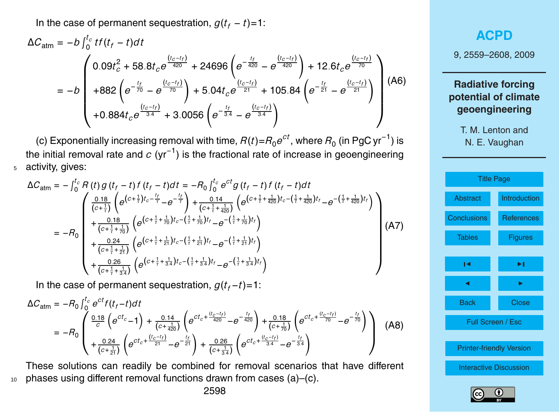In the case of permanent sequestration,  $g(t_f - t) = 1$ :

$$
\Delta C_{atm} = -b \int_{0}^{t_c} t f(t_f - t) dt
$$
\n
$$
= -b \begin{pmatrix}\n0.09t_c^2 + 58.8t_c e^{\frac{(t_c - t_f)}{420}} + 24696 \left( e^{-\frac{t_f}{420}} - e^{\frac{(t_c - t_f)}{420}} \right) + 12.6t_c e^{\frac{(t_c - t_f)}{70}} \\
+ 882 \left( e^{-\frac{t_f}{70}} - e^{\frac{(t_c - t_f)}{70}} \right) + 5.04t_c e^{\frac{(t_c - t_f)}{21}} + 105.84 \left( e^{-\frac{t_f}{21}} - e^{\frac{(t_c - t_f)}{21}} \right) \\
+ 0.884t_c e^{\frac{(t_c - t_f)}{3.4}} + 3.0056 \left( e^{-\frac{t_f}{3.4}} - e^{\frac{(t_c - t_f)}{3.4}} \right)\n\end{pmatrix}
$$
\n(A6)

(c) Exponentially increasing removal with time,  $R(t)$ = $R_0e^{ct}$ , where  $R_0$  (in PgC yr<sup>−1</sup>) is the initial removal rate and *c* (yr<sup>−1</sup>) is the fractional rate of increase in geoengineering <sup>5</sup> activity, gives:

$$
\Delta C_{\text{atm}} = -\int_{0}^{t_{c}} R(t) g(t_{f} - t) f(t_{f} - t) dt = -R_{0} \int_{0}^{t_{c}} e^{ct} g(t_{f} - t) f(t_{f} - t) dt \n= -R_{0} \begin{pmatrix} \frac{0.18}{(c + \frac{1}{t})} \left( e^{(c + \frac{1}{t})t_{c} - \frac{t_{f}}{t}} - e^{-\frac{t_{f}}{t}} \right) + \frac{0.14}{(c + \frac{1}{t} + \frac{1}{420})} \left( e^{(c + \frac{1}{t} + \frac{1}{420})t_{c} - (\frac{1}{t} + \frac{1}{420})t_{f}} - e^{-(\frac{1}{t} + \frac{1}{420})t_{f}} \right) \right. \\ \left. + \frac{0.18}{(c + \frac{1}{t} + \frac{1}{70})} \left( e^{(c + \frac{1}{t} + \frac{1}{70})t_{c} - (\frac{1}{t} + \frac{1}{70})t_{f}} - e^{-(\frac{1}{t} + \frac{1}{70})t_{f}} \right) \right. \\ \left. + \frac{0.24}{(c + \frac{1}{t} + \frac{1}{21})} \left( e^{(c + \frac{1}{t} + \frac{1}{21})t_{c} - (\frac{1}{t} + \frac{1}{21})t_{f}} - e^{-(\frac{1}{t} + \frac{1}{21})t_{f}} \right) \right) \left. (A7) \right] \end{pmatrix} \tag{A7}
$$

In the case of permanent sequestration,  $g(t_f-t)=1$ :

$$
\Delta C_{\text{atm}} = -R_0 \int_0^{t_c} e^{ct} f(t_f - t) dt
$$
\n
$$
= -R_0 \begin{pmatrix} \frac{0.18}{c} \left( e^{ct_c} - 1 \right) + \frac{0.14}{(c + \frac{1}{420})} \left( e^{ct_c + \frac{(t_c - t_f)}{420}} - e^{-\frac{t_f}{420}} \right) + \frac{0.18}{(c + \frac{1}{70})} \left( e^{ct_c + \frac{(t_c - t_f)}{70}} - e^{-\frac{t_f}{70}} \right) \\ + \frac{0.24}{(c + \frac{1}{21})} \left( e^{ct_c + \frac{(t_c - t_f)}{21}} - e^{-\frac{t_f}{21}} \right) + \frac{0.26}{(c + \frac{1}{34})} \left( e^{ct_c + \frac{(t_c - t_f)}{34}} - e^{-\frac{t_f}{34}} \right) \end{pmatrix} \tag{A8}
$$

These solutions can readily be combined for removal scenarios that have different <sup>10</sup> phases using different removal functions drawn from cases (a)–(c).

9, 2559–2608, 2009

## **Radiative forcing potential of climate geoengineering**

T. M. Lenton and

N. E. Vaughan



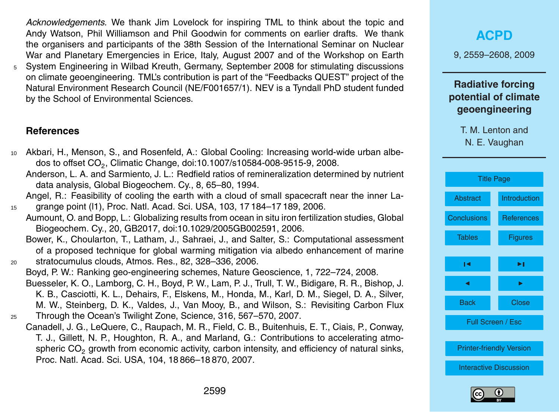<span id="page-40-0"></span>*Acknowledgements.* We thank Jim Lovelock for inspiring TML to think about the topic and Andy Watson, Phil Williamson and Phil Goodwin for comments on earlier drafts. We thank the organisers and participants of the 38th Session of the International Seminar on Nuclear War and Planetary Emergencies in Erice, Italy, August 2007 and of the Workshop on Earth

<sup>5</sup> System Engineering in Wilbad Kreuth, Germany, September 2008 for stimulating discussions on climate geoengineering. TML's contribution is part of the "Feedbacks QUEST" project of the Natural Environment Research Council (NE/F001657/1). NEV is a Tyndall PhD student funded by the School of Environmental Sciences.

#### **References**

- <sup>10</sup> Akbari, H., Menson, S., and Rosenfeld, A.: Global Cooling: Increasing world-wide urban albedos to offset CO<sub>2</sub>, Climatic Change, doi:10.1007/s10584-008-9515-9, 2008.
	- Anderson, L. A. and Sarmiento, J. L.: Redfield ratios of remineralization determined by nutrient data analysis, Global Biogeochem. Cy., 8, 65–80, 1994.
- Angel, R.: Feasibility of cooling the earth with a cloud of small spacecraft near the inner La-<sup>15</sup> grange point (l1), Proc. Natl. Acad. Sci. USA, 103, 17 184–17 189, 2006.
	- Aumount, O. and Bopp, L.: Globalizing results from ocean in situ iron fertilization studies, Global Biogeochem. Cy., 20, GB2017, doi:10.1029/2005GB002591, 2006.
- Bower, K., Choularton, T., Latham, J., Sahraei, J., and Salter, S.: Computational assessment of a proposed technique for global warming mitigation via albedo enhancement of marine <sup>20</sup> stratocumulus clouds, Atmos. Res., 82, 328–336, 2006.
- Boyd, P. W.: Ranking geo-engineering schemes, Nature Geoscience, 1, 722–724, 2008. Buesseler, K. O., Lamborg, C. H., Boyd, P. W., Lam, P. J., Trull, T. W., Bidigare, R. R., Bishop, J. K. B., Casciotti, K. L., Dehairs, F., Elskens, M., Honda, M., Karl, D. M., Siegel, D. A., Silver, M. W., Steinberg, D. K., Valdes, J., Van Mooy, B., and Wilson, S.: Revisiting Carbon Flux <sup>25</sup> Through the Ocean's Twilight Zone, Science, 316, 567–570, 2007.
	- Canadell, J. G., LeQuere, C., Raupach, M. R., Field, C. B., Buitenhuis, E. T., Ciais, P., Conway, T. J., Gillett, N. P., Houghton, R. A., and Marland, G.: Contributions to accelerating atmospheric  $CO<sub>2</sub>$  growth from economic activity, carbon intensity, and efficiency of natural sinks, Proc. Natl. Acad. Sci. USA, 104, 18 866–18 870, 2007.

9, 2559–2608, 2009

## **Radiative forcing potential of climate geoengineering**

| <b>Title Page</b>  |                                 |  |  |  |  |
|--------------------|---------------------------------|--|--|--|--|
| <b>Abstract</b>    | <b>Introduction</b>             |  |  |  |  |
| <b>Conclusions</b> | <b>References</b>               |  |  |  |  |
| <b>Tables</b>      | <b>Figures</b>                  |  |  |  |  |
| ы                  | ►∣                              |  |  |  |  |
|                    | ▶                               |  |  |  |  |
| <b>Back</b>        | <b>Close</b>                    |  |  |  |  |
|                    | Full Screen / Esc               |  |  |  |  |
|                    | <b>Printer-friendly Version</b> |  |  |  |  |
|                    | <b>Interactive Discussion</b>   |  |  |  |  |
|                    |                                 |  |  |  |  |

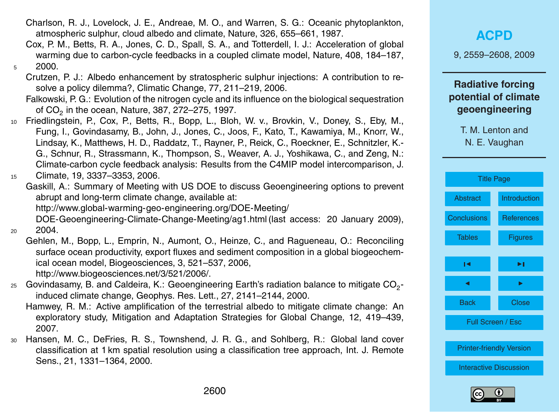- Charlson, R. J., Lovelock, J. E., Andreae, M. O., and Warren, S. G.: Oceanic phytoplankton, atmospheric sulphur, cloud albedo and climate, Nature, 326, 655–661, 1987.
- Cox, P. M., Betts, R. A., Jones, C. D., Spall, S. A., and Totterdell, I. J.: Acceleration of global warming due to carbon-cycle feedbacks in a coupled climate model, Nature, 408, 184–187,  $5$  2000.
	- Crutzen, P. J.: Albedo enhancement by stratospheric sulphur injections: A contribution to resolve a policy dilemma?, Climatic Change, 77, 211–219, 2006.
	- Falkowski, P. G.: Evolution of the nitrogen cycle and its influence on the biological sequestration of CO<sub>2</sub> in the ocean, Nature, 387, 272–275, 1997.
- <sup>10</sup> Friedlingstein, P., Cox, P., Betts, R., Bopp, L., Bloh, W. v., Brovkin, V., Doney, S., Eby, M., Fung, I., Govindasamy, B., John, J., Jones, C., Joos, F., Kato, T., Kawamiya, M., Knorr, W., Lindsay, K., Matthews, H. D., Raddatz, T., Rayner, P., Reick, C., Roeckner, E., Schnitzler, K.- G., Schnur, R., Strassmann, K., Thompson, S., Weaver, A. J., Yoshikawa, C., and Zeng, N.: Climate-carbon cycle feedback analysis: Results from the C4MIP model intercomparison, J.
- <sup>15</sup> Climate, 19, 3337–3353, 2006.
- Gaskill, A.: Summary of Meeting with US DOE to discuss Geoengineering options to prevent abrupt and long-term climate change, available at:
	- [http://www.global-warming-geo-engineering.org/DOE-Meeting/](http://www.global-warming-geo-engineering.org/DOE-Meeting/DOE-Geoengineering-Climate-Change-Meeting/ag1.html)

[DOE-Geoengineering-Climate-Change-Meeting/ag1.html](http://www.global-warming-geo-engineering.org/DOE-Meeting/DOE-Geoengineering-Climate-Change-Meeting/ag1.html)(last access: 20 January 2009), <sup>20</sup> 2004.

Gehlen, M., Bopp, L., Emprin, N., Aumont, O., Heinze, C., and Ragueneau, O.: Reconciling surface ocean productivity, export fluxes and sediment composition in a global biogeochemical ocean model, Biogeosciences, 3, 521–537, 2006,

[http://www.biogeosciences.net/3/521/2006/.](http://www.biogeosciences.net/3/521/2006/)

- $_{25}$  Govindasamy, B. and Caldeira, K.: Geoengineering Earth's radiation balance to mitigate CO<sub>2</sub>induced climate change, Geophys. Res. Lett., 27, 2141–2144, 2000.
	- Hamwey, R. M.: Active amplification of the terrestrial albedo to mitigate climate change: An exploratory study, Mitigation and Adaptation Strategies for Global Change, 12, 419–439, 2007.
- <sup>30</sup> Hansen, M. C., DeFries, R. S., Townshend, J. R. G., and Sohlberg, R.: Global land cover classification at 1 km spatial resolution using a classification tree approach, Int. J. Remote Sens., 21, 1331–1364, 2000.

## **[ACPD](http://www.atmos-chem-phys-discuss.net)**

9, 2559–2608, 2009

## **Radiative forcing potential of climate geoengineering**

|                               | <b>Title Page</b>               |  |  |  |  |  |
|-------------------------------|---------------------------------|--|--|--|--|--|
| <b>Abstract</b>               | <b>Introduction</b>             |  |  |  |  |  |
| <b>Conclusions</b>            | References                      |  |  |  |  |  |
| <b>Tables</b>                 | <b>Figures</b>                  |  |  |  |  |  |
| ы                             | ы                               |  |  |  |  |  |
| ◢                             | ▶                               |  |  |  |  |  |
|                               |                                 |  |  |  |  |  |
| <b>Back</b>                   | Close                           |  |  |  |  |  |
|                               | Full Screen / Esc               |  |  |  |  |  |
|                               |                                 |  |  |  |  |  |
|                               | <b>Printer-friendly Version</b> |  |  |  |  |  |
| <b>Interactive Discussion</b> |                                 |  |  |  |  |  |
|                               |                                 |  |  |  |  |  |



T. M. Lenton and

N. E. Vaughan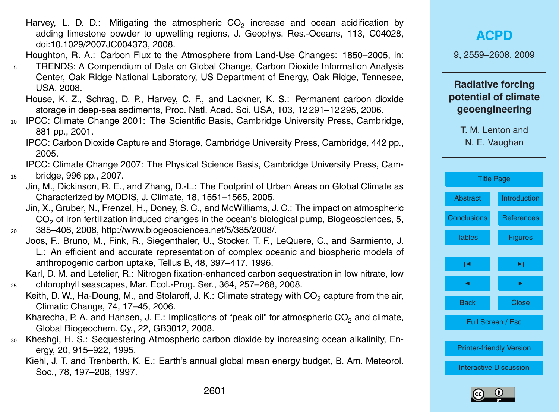- Harvey, L. D. D.: Mitigating the atmospheric  $CO_2$  increase and ocean acidification by adding limestone powder to upwelling regions, J. Geophys. Res.-Oceans, 113, C04028, doi:10.1029/2007JC004373, 2008.
- Houghton, R. A.: Carbon Flux to the Atmosphere from Land-Use Changes: 1850–2005, in:
- <sup>5</sup> TRENDS: A Compendium of Data on Global Change, Carbon Dioxide Information Analysis Center, Oak Ridge National Laboratory, US Department of Energy, Oak Ridge, Tennesee, USA, 2008.
	- House, K. Z., Schrag, D. P., Harvey, C. F., and Lackner, K. S.: Permanent carbon dioxide storage in deep-sea sediments, Proc. Natl. Acad. Sci. USA, 103, 12 291–12 295, 2006.
- <sup>10</sup> IPCC: Climate Change 2001: The Scientific Basis, Cambridge University Press, Cambridge, 881 pp., 2001.
	- IPCC: Carbon Dioxide Capture and Storage, Cambridge University Press, Cambridge, 442 pp., 2005.
- IPCC: Climate Change 2007: The Physical Science Basis, Cambridge University Press, Cam-<sup>15</sup> bridge, 996 pp., 2007.
	- Jin, M., Dickinson, R. E., and Zhang, D.-L.: The Footprint of Urban Areas on Global Climate as Characterized by MODIS, J. Climate, 18, 1551–1565, 2005.
- Jin, X., Gruber, N., Frenzel, H., Doney, S. C., and McWilliams, J. C.: The impact on atmospheric CO<sub>2</sub> of iron fertilization induced changes in the ocean's biological pump, Biogeosciences, 5, <sup>20</sup> 385–406, 2008, [http://www.biogeosciences.net/5/385/2008/.](http://www.biogeosciences.net/5/385/2008/)
	- Joos, F., Bruno, M., Fink, R., Siegenthaler, U., Stocker, T. F., LeQuere, C., and Sarmiento, J. L.: An efficient and accurate representation of complex oceanic and biospheric models of anthropogenic carbon uptake, Tellus B, 48, 397–417, 1996.
- Karl, D. M. and Letelier, R.: Nitrogen fixation-enhanced carbon sequestration in low nitrate, low <sup>25</sup> chlorophyll seascapes, Mar. Ecol.-Prog. Ser., 364, 257–268, 2008.
	- Keith, D. W., Ha-Doung, M., and Stolaroff, J. K.: Climate strategy with CO<sub>2</sub> capture from the air, Climatic Change, 74, 17–45, 2006.
	- Kharecha, P. A. and Hansen, J. E.: Implications of "peak oil" for atmospheric  $CO<sub>2</sub>$  and climate, Global Biogeochem. Cy., 22, GB3012, 2008.
- <sup>30</sup> Kheshgi, H. S.: Sequestering Atmospheric carbon dioxide by increasing ocean alkalinity, Energy, 20, 915–922, 1995.
	- Kiehl, J. T. and Trenberth, K. E.: Earth's annual global mean energy budget, B. Am. Meteorol. Soc., 78, 197–208, 1997.

9, 2559–2608, 2009

## **Radiative forcing potential of climate geoengineering**

| <b>Title Page</b>             |                                 |  |  |  |  |
|-------------------------------|---------------------------------|--|--|--|--|
| Abstract                      | <b>Introduction</b>             |  |  |  |  |
| <b>Conclusions</b>            | <b>References</b>               |  |  |  |  |
| <b>Tables</b>                 | <b>Figures</b>                  |  |  |  |  |
| ы                             | ►∣                              |  |  |  |  |
|                               | ь                               |  |  |  |  |
| <b>Back</b>                   | Close                           |  |  |  |  |
|                               | Full Screen / Esc               |  |  |  |  |
|                               |                                 |  |  |  |  |
|                               | <b>Printer-friendly Version</b> |  |  |  |  |
| <b>Interactive Discussion</b> |                                 |  |  |  |  |

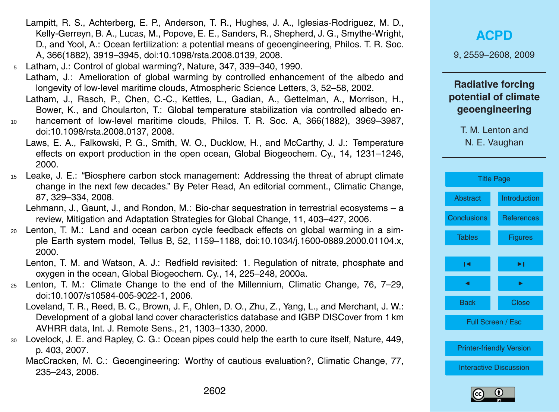- Lampitt, R. S., Achterberg, E. P., Anderson, T. R., Hughes, J. A., Iglesias-Rodriguez, M. D., Kelly-Gerreyn, B. A., Lucas, M., Popove, E. E., Sanders, R., Shepherd, J. G., Smythe-Wright, D., and Yool, A.: Ocean fertilization: a potential means of geoengineering, Philos. T. R. Soc. A, 366(1882), 3919–3945, doi:10.1098/rsta.2008.0139, 2008.
- <sup>5</sup> Latham, J.: Control of global warming?, Nature, 347, 339–340, 1990. Latham, J.: Amelioration of global warming by controlled enhancement of the albedo and longevity of low-level maritime clouds, Atmospheric Science Letters, 3, 52–58, 2002.
	- Latham, J., Rasch, P., Chen, C.-C., Kettles, L., Gadian, A., Gettelman, A., Morrison, H., Bower, K., and Choularton, T.: Global temperature stabilization via controlled albedo en-
- <sup>10</sup> hancement of low-level maritime clouds, Philos. T. R. Soc. A, 366(1882), 3969–3987, doi:10.1098/rsta.2008.0137, 2008.
	- Laws, E. A., Falkowski, P. G., Smith, W. O., Ducklow, H., and McCarthy, J. J.: Temperature effects on export production in the open ocean, Global Biogeochem. Cy., 14, 1231–1246, 2000.
- <sup>15</sup> Leake, J. E.: "Biosphere carbon stock management: Addressing the threat of abrupt climate change in the next few decades." By Peter Read, An editorial comment., Climatic Change, 87, 329–334, 2008.
	- Lehmann, J., Gaunt, J., and Rondon, M.: Bio-char sequestration in terrestrial ecosystems a review, Mitigation and Adaptation Strategies for Global Change, 11, 403–427, 2006.
- <sup>20</sup> Lenton, T. M.: Land and ocean carbon cycle feedback effects on global warming in a simple Earth system model, Tellus B, 52, 1159–1188, doi:10.1034/j.1600-0889.2000.01104.x, 2000.
	- Lenton, T. M. and Watson, A. J.: Redfield revisited: 1. Regulation of nitrate, phosphate and oxygen in the ocean, Global Biogeochem. Cy., 14, 225–248, 2000a.
- <sup>25</sup> Lenton, T. M.: Climate Change to the end of the Millennium, Climatic Change, 76, 7–29, doi:10.1007/s10584-005-9022-1, 2006.
	- Loveland, T. R., Reed, B. C., Brown, J. F., Ohlen, D. O., Zhu, Z., Yang, L., and Merchant, J. W.: Development of a global land cover characteristics database and IGBP DISCover from 1 km AVHRR data, Int. J. Remote Sens., 21, 1303–1330, 2000.
- <sup>30</sup> Lovelock, J. E. and Rapley, C. G.: Ocean pipes could help the earth to cure itself, Nature, 449, p. 403, 2007.
	- MacCracken, M. C.: Geoengineering: Worthy of cautious evaluation?, Climatic Change, 77, 235–243, 2006.

9, 2559–2608, 2009

### **Radiative forcing potential of climate geoengineering**

|                    | <b>Title Page</b>               |  |  |  |  |  |
|--------------------|---------------------------------|--|--|--|--|--|
| Abstract           | Introduction                    |  |  |  |  |  |
| <b>Conclusions</b> | <b>References</b>               |  |  |  |  |  |
| <b>Tables</b>      | <b>Figures</b>                  |  |  |  |  |  |
| ы                  | ы                               |  |  |  |  |  |
|                    |                                 |  |  |  |  |  |
|                    |                                 |  |  |  |  |  |
| <b>Back</b>        | Close                           |  |  |  |  |  |
|                    | <b>Full Screen / Esc</b>        |  |  |  |  |  |
|                    |                                 |  |  |  |  |  |
|                    | <b>Printer-friendly Version</b> |  |  |  |  |  |
|                    | <b>Interactive Discussion</b>   |  |  |  |  |  |
|                    |                                 |  |  |  |  |  |



T. M. Lenton and

N. E. Vaughan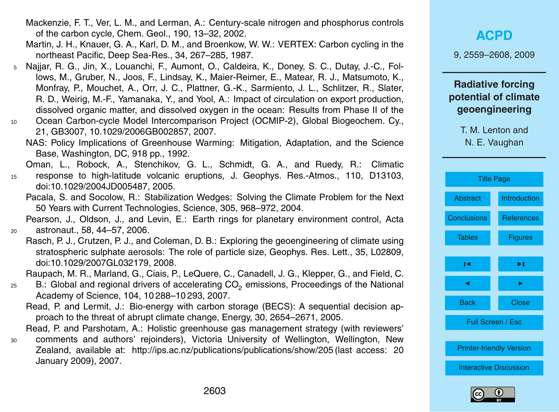- Mackenzie, F. T., Ver, L. M., and Lerman, A.: Century-scale nitrogen and phosphorus controls of the carbon cycle, Chem. Geol., 190, 13–32, 2002.
- Martin, J. H., Knauer, G. A., Karl, D. M., and Broenkow, W. W.: VERTEX: Carbon cycling in the northeast Pacific, Deep Sea-Res., 34, 267–285, 1987.
- <sup>5</sup> Najjar, R. G., Jin, X., Louanchi, F., Aumont, O., Caldeira, K., Doney, S. C., Dutay, J.-C., Follows, M., Gruber, N., Joos, F., Lindsay, K., Maier-Reimer, E., Matear, R. J., Matsumoto, K., Monfray, P., Mouchet, A., Orr, J. C., Plattner, G.-K., Sarmiento, J. L., Schlitzer, R., Slater, R. D., Weirig, M.-F., Yamanaka, Y., and Yool, A.: Impact of circulation on export production, dissolved organic matter, and dissolved oxygen in the ocean: Results from Phase II of the
- <sup>10</sup> Ocean Carbon-cycle Model Intercomparison Project (OCMIP-2), Global Biogeochem. Cy., 21, GB3007, 10.1029/2006GB002857, 2007.
	- NAS: Policy Implications of Greenhouse Warming: Mitigation, Adaptation, and the Science Base, Washington, DC, 918 pp., 1992.

Oman, L., Robock, A., Stenchikov, G. L., Schmidt, G. A., and Ruedy, R.: Climatic <sup>15</sup> response to high-latitude volcanic eruptions, J. Geophys. Res.-Atmos., 110, D13103,

Pacala, S. and Socolow, R.: Stabilization Wedges: Solving the Climate Problem for the Next 50 Years with Current Technologies, Science, 305, 968–972, 2004.

doi:10.1029/2004JD005487, 2005.

Pearson, J., Oldson, J., and Levin, E.: Earth rings for planetary environment control, Acta <sup>20</sup> astronaut., 58, 44–57, 2006.

Rasch, P. J., Crutzen, P. J., and Coleman, D. B.: Exploring the geoengineering of climate using stratospheric sulphate aerosols: The role of particle size, Geophys. Res. Lett., 35, L02809, doi:10.1029/2007GL032179, 2008.

Raupach, M. R., Marland, G., Ciais, P., LeQuere, C., Canadell, J. G., Klepper, G., and Field, C.

- 25 B.: Global and regional drivers of accelerating CO<sub>2</sub> emissions, Proceedings of the National Academy of Science, 104, 10 288–10 293, 2007.
	- Read, P. and Lermit, J.: Bio-energy with carbon storage (BECS): A sequential decision approach to the threat of abrupt climate change, Energy, 30, 2654–2671, 2005.
- Read, P. and Parshotam, A.: Holistic greenhouse gas management strategy (with reviewers' <sup>30</sup> comments and authors' rejoinders), Victoria University of Wellington, Wellington, New Zealand, available at: <http://ips.ac.nz/publications/publications/show/205> (last access: 20 January 2009), 2007.

**[ACPD](http://www.atmos-chem-phys-discuss.net)**

9, 2559–2608, 2009

## **Radiative forcing potential of climate geoengineering**

T. M. Lenton and

N. E. Vaughan

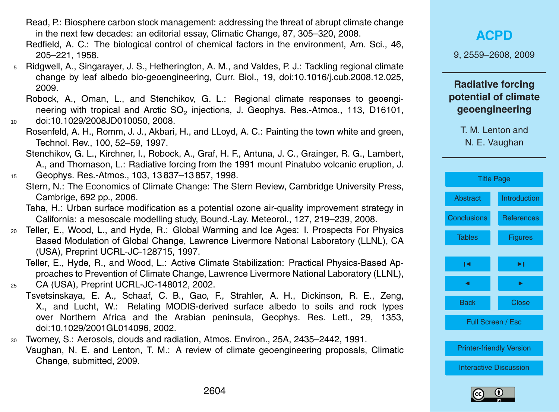- Read, P.: Biosphere carbon stock management: addressing the threat of abrupt climate change in the next few decades: an editorial essay, Climatic Change, 87, 305–320, 2008.
- Redfield, A. C.: The biological control of chemical factors in the environment, Am. Sci., 46, 205–221, 1958.
- <sup>5</sup> Ridgwell, A., Singarayer, J. S., Hetherington, A. M., and Valdes, P. J.: Tackling regional climate change by leaf albedo bio-geoengineering, Curr. Biol., 19, doi:10.1016/j.cub.2008.12.025, 2009.
- Robock, A., Oman, L., and Stenchikov, G. L.: Regional climate responses to geoengineering with tropical and Arctic  $\mathsf{SO}_2$  injections, J. Geophys. Res.-Atmos., 113, D16101, <sup>10</sup> doi:10.1029/2008JD010050, 2008.
	- Rosenfeld, A. H., Romm, J. J., Akbari, H., and LLoyd, A. C.: Painting the town white and green, Technol. Rev., 100, 52–59, 1997.
		- Stenchikov, G. L., Kirchner, I., Robock, A., Graf, H. F., Antuna, J. C., Grainger, R. G., Lambert, A., and Thomason, L.: Radiative forcing from the 1991 mount Pinatubo volcanic eruption, J.
- <sup>15</sup> Geophys. Res.-Atmos., 103, 13 837–13 857, 1998.
	- Stern, N.: The Economics of Climate Change: The Stern Review, Cambridge University Press, Cambrige, 692 pp., 2006.
		- Taha, H.: Urban surface modification as a potential ozone air-quality improvement strategy in California: a mesoscale modelling study, Bound.-Lay. Meteorol., 127, 219–239, 2008.
- <sup>20</sup> Teller, E., Wood, L., and Hyde, R.: Global Warming and Ice Ages: I. Prospects For Physics Based Modulation of Global Change, Lawrence Livermore National Laboratory (LLNL), CA (USA), Preprint UCRL-JC-128715, 1997.
- Teller, E., Hyde, R., and Wood, L.: Active Climate Stabilization: Practical Physics-Based Approaches to Prevention of Climate Change, Lawrence Livermore National Laboratory (LLNL), <sup>25</sup> CA (USA), Preprint UCRL-JC-148012, 2002.
	- Tsvetsinskaya, E. A., Schaaf, C. B., Gao, F., Strahler, A. H., Dickinson, R. E., Zeng, X., and Lucht, W.: Relating MODIS-derived surface albedo to soils and rock types over Northern Africa and the Arabian peninsula, Geophys. Res. Lett., 29, 1353, doi:10.1029/2001GL014096, 2002.
- <sup>30</sup> Twomey, S.: Aerosols, clouds and radiation, Atmos. Environ., 25A, 2435–2442, 1991. Vaughan, N. E. and Lenton, T. M.: A review of climate geoengineering proposals, Climatic Change, submitted, 2009.

9, 2559–2608, 2009

## **Radiative forcing potential of climate geoengineering**

| <b>Title Page</b>             |                                 |  |  |  |  |
|-------------------------------|---------------------------------|--|--|--|--|
| <b>Abstract</b>               | <b>Introduction</b>             |  |  |  |  |
| <b>Conclusions</b>            | <b>References</b>               |  |  |  |  |
| <b>Tables</b>                 | <b>Figures</b>                  |  |  |  |  |
| ы                             | ▶।                              |  |  |  |  |
| ▶                             |                                 |  |  |  |  |
| <b>Back</b>                   | <b>Close</b>                    |  |  |  |  |
|                               | Full Screen / Esc               |  |  |  |  |
|                               | <b>Printer-friendly Version</b> |  |  |  |  |
| <b>Interactive Discussion</b> |                                 |  |  |  |  |

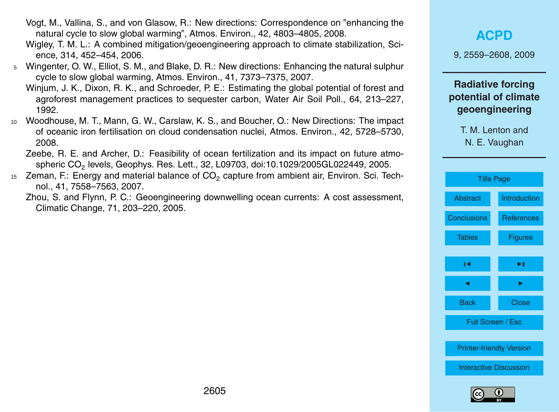- Vogt, M., Vallina, S., and von Glasow, R.: New directions: Correspondence on "enhancing the natural cycle to slow global warming", Atmos. Environ., 42, 4803–4805, 2008.
- Wigley, T. M. L.: A combined mitigation/geoengineering approach to climate stabilization, Science, 314, 452–454, 2006.
- <sup>5</sup> Wingenter, O. W., Elliot, S. M., and Blake, D. R.: New directions: Enhancing the natural sulphur cycle to slow global warming, Atmos. Environ., 41, 7373–7375, 2007.
	- Winjum, J. K., Dixon, R. K., and Schroeder, P. E.: Estimating the global potential of forest and agroforest management practices to sequester carbon, Water Air Soil Poll., 64, 213–227, 1992.
- <sup>10</sup> Woodhouse, M. T., Mann, G. W., Carslaw, K. S., and Boucher, O.: New Directions: The impact of oceanic iron fertilisation on cloud condensation nuclei, Atmos. Environ., 42, 5728–5730, 2008.

Zeebe, R. E. and Archer, D.: Feasibility of ocean fertilization and its impact on future atmospheric CO $_{\rm 2}$  levels, Geophys. Res. Lett., 32, L09703, doi:10.1029/2005GL022449, 2005.

- $_{15}$  Zeman, F.: Energy and material balance of CO<sub>2</sub> capture from ambient air, Environ. Sci. Technol., 41, 7558–7563, 2007.
	- Zhou, S. and Flynn, P. C.: Geoengineering downwelling ocean currents: A cost assessment, Climatic Change, 71, 203–220, 2005.

## **[ACPD](http://www.atmos-chem-phys-discuss.net)**

9, 2559–2608, 2009

### **Radiative forcing potential of climate geoengineering**

N. E. Vaughan

[Title Page](#page-0-0)

[Abstract](#page-1-0) [Introduction](#page-2-0)

[Conclusions](#page-35-0) [References](#page-40-0)

[Tables](#page-47-0) [Figures](#page-49-0)

 $\sim$  J  $\sim$ 

J I

Back Close

Full Screen / Esc

[Printer-friendly Version](http://www.atmos-chem-phys-discuss.net/9/2559/2009/acpd-9-2559-2009-print.pdf)

[Interactive Discussion](http://www.atmos-chem-phys-discuss.net/9/2559/2009/acpd-9-2559-2009-discussion.html)

T. M. Lenton and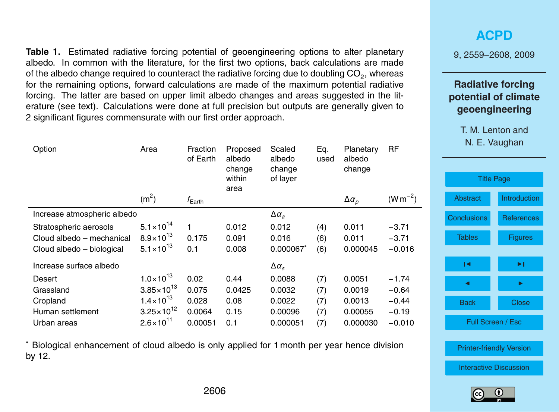<span id="page-47-0"></span>**Table 1.** Estimated radiative forcing potential of geoengineering options to alter planetary albedo. In common with the literature, for the first two options, back calculations are made of the albedo change required to counteract the radiative forcing due to doubling CO<sub>2</sub>, whereas for the remaining options, forward calculations are made of the maximum potential radiative forcing. The latter are based on upper limit albedo changes and areas suggested in the literature (see text). Calculations were done at full precision but outputs are generally given to 2 significant figures commensurate with our first order approach.

| Option                      | Area                  | Fraction<br>of Earth | Proposed<br>albedo<br>change<br>within | Scaled<br>albedo<br>change<br>of layer | Eq.<br>used | Planetary<br>albedo<br>change | <b>RF</b>    |
|-----------------------------|-----------------------|----------------------|----------------------------------------|----------------------------------------|-------------|-------------------------------|--------------|
|                             |                       |                      | area                                   |                                        |             |                               |              |
|                             | (m <sup>2</sup> )     | $f_{\rm Earth}$      |                                        |                                        |             | $\Delta \alpha_{p}$           | $(W m^{-2})$ |
| Increase atmospheric albedo |                       |                      |                                        | $\Delta \alpha_{a}$                    |             |                               |              |
| Stratospheric aerosols      | $5.1 \times 10^{14}$  | 1                    | 0.012                                  | 0.012                                  | (4)         | 0.011                         | $-3.71$      |
| Cloud albedo - mechanical   | $8.9 \times 10^{13}$  | 0.175                | 0.091                                  | 0.016                                  | (6)         | 0.011                         | $-3.71$      |
| Cloud albedo – biological   | $5.1 \times 10^{13}$  | 0.1                  | 0.008                                  | 0.000067*                              | (6)         | 0.000045                      | $-0.016$     |
| Increase surface albedo     |                       |                      |                                        | $\Delta \alpha_{\rm s}$                |             |                               |              |
| Desert                      | $1.0 \times 10^{13}$  | 0.02                 | 0.44                                   | 0.0088                                 | (7)         | 0.0051                        | $-1.74$      |
| Grassland                   | $3.85 \times 10^{13}$ | 0.075                | 0.0425                                 | 0.0032                                 | (7)         | 0.0019                        | $-0.64$      |
| Cropland                    | $1.4 \times 10^{13}$  | 0.028                | 0.08                                   | 0.0022                                 | (7)         | 0.0013                        | $-0.44$      |
| Human settlement            | $3.25 \times 10^{12}$ | 0.0064               | 0.15                                   | 0.00096                                | (7)         | 0.00055                       | $-0.19$      |
| Urban areas                 | $2.6 \times 10^{11}$  | 0.00051              | 0.1                                    | 0.000051                               | (7)         | 0.000030                      | $-0.010$     |
|                             |                       |                      |                                        |                                        |             |                               |              |

<sup>∗</sup> Biological enhancement of cloud albedo is only applied for 1 month per year hence division by 12.

## **[ACPD](http://www.atmos-chem-phys-discuss.net)**

9, 2559–2608, 2009

## **Radiative forcing potential of climate geoengineering**

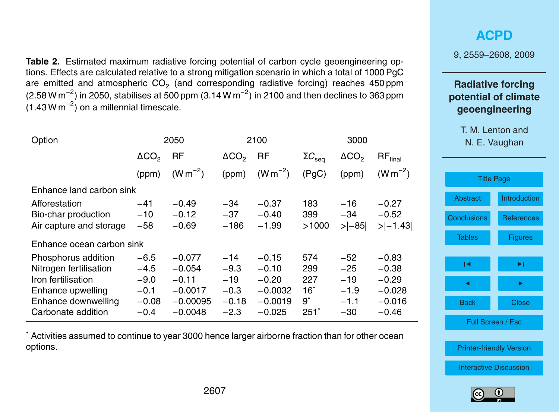**Table 2.** Estimated maximum radiative forcing potential of carbon cycle geoengineering options. Effects are calculated relative to a strong mitigation scenario in which a total of 1000 PgC are emitted and atmospheric CO<sub>2</sub> (and corresponding radiative forcing) reaches 450 ppm (2.58 W m<sup>-2</sup>) in 2050, stabilises at 500 ppm (3.14 W m<sup>-2</sup>) in 2100 and then declines to 363 ppm  $(1.43 \text{ W m}^{-2})$  on a millennial timescale.

| Option                                                                                                                                |                                                           | 2050                                                                    |                                                         | 2100                                                                |                                                | 3000                                                 |                                                                  |
|---------------------------------------------------------------------------------------------------------------------------------------|-----------------------------------------------------------|-------------------------------------------------------------------------|---------------------------------------------------------|---------------------------------------------------------------------|------------------------------------------------|------------------------------------------------------|------------------------------------------------------------------|
|                                                                                                                                       | $\Delta CO_{2}$                                           | RF                                                                      | $\Delta CO_{2}$                                         | RF                                                                  | $\Sigma C_{\rm seq}$                           | $\Delta CO_{2}$                                      | $\mathsf{RF}_{\mathsf{final}}$                                   |
|                                                                                                                                       | (ppm)                                                     | $(W m^{-2})$                                                            | (ppm)                                                   | $(W m^{-2})$                                                        | (PgC)                                          | (ppm)                                                | $(W m^{-2})$                                                     |
| Enhance land carbon sink                                                                                                              |                                                           |                                                                         |                                                         |                                                                     |                                                |                                                      |                                                                  |
| Afforestation<br>Bio-char production<br>Air capture and storage                                                                       | $-41$<br>$-10$<br>$-58$                                   | $-0.49$<br>$-0.12$<br>$-0.69$                                           | $-34$<br>$-37$<br>$-186$                                | $-0.37$<br>$-0.40$<br>$-1.99$                                       | 183<br>399<br>>1000                            | $-16$<br>$-34$<br>$>$ $ -85 $                        | $-0.27$<br>$-0.52$<br>$> -1.43 $                                 |
| Enhance ocean carbon sink                                                                                                             |                                                           |                                                                         |                                                         |                                                                     |                                                |                                                      |                                                                  |
| Phosphorus addition<br>Nitrogen fertilisation<br>Iron fertilisation<br>Enhance upwelling<br>Enhance downwelling<br>Carbonate addition | $-6.5$<br>$-4.5$<br>$-9.0$<br>$-0.1$<br>$-0.08$<br>$-0.4$ | $-0.077$<br>$-0.054$<br>$-0.11$<br>$-0.0017$<br>$-0.00095$<br>$-0.0048$ | $-14$<br>$-9.3$<br>$-19$<br>$-0.3$<br>$-0.18$<br>$-2.3$ | $-0.15$<br>$-0.10$<br>$-0.20$<br>$-0.0032$<br>$-0.0019$<br>$-0.025$ | 574<br>299<br>227<br>$16^*$<br>$9^*$<br>$251*$ | $-52$<br>$-25$<br>$-19$<br>$-1.9$<br>$-1.1$<br>$-30$ | $-0.83$<br>$-0.38$<br>$-0.29$<br>$-0.028$<br>$-0.016$<br>$-0.46$ |

<sup>∗</sup> Activities assumed to continue to year 3000 hence larger airborne fraction than for other ocean options.

## **[ACPD](http://www.atmos-chem-phys-discuss.net)**

9, 2559–2608, 2009

## **Radiative forcing potential of climate geoengineering**

| <b>Title Page</b>               |                     |  |  |  |
|---------------------------------|---------------------|--|--|--|
| Abstract                        | <b>Introduction</b> |  |  |  |
| <b>Conclusions</b>              | <b>References</b>   |  |  |  |
| <b>Tables</b>                   | Figures             |  |  |  |
| ы                               | ы                   |  |  |  |
|                                 |                     |  |  |  |
|                                 |                     |  |  |  |
| Back                            | Close               |  |  |  |
| Full Screen / Esc               |                     |  |  |  |
|                                 |                     |  |  |  |
| <b>Printer-friendly Version</b> |                     |  |  |  |
| <b>Interactive Discussion</b>   |                     |  |  |  |